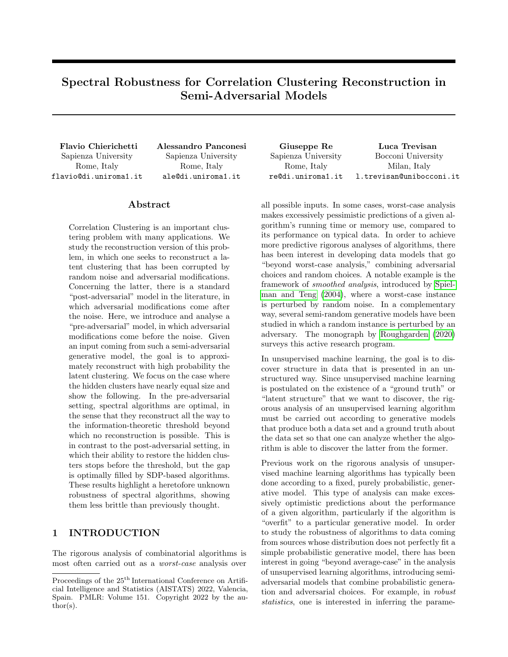# Spectral Robustness for Correlation Clustering Reconstruction in Semi-Adversarial Models

Sapienza University Rome, Italy flavio@di.uniroma1.it

Sapienza University Rome, Italy ale@di.uniroma1.it

## Abstract

Correlation Clustering is an important clustering problem with many applications. We study the reconstruction version of this problem, in which one seeks to reconstruct a latent clustering that has been corrupted by random noise and adversarial modifications. Concerning the latter, there is a standard "post-adversarial" model in the literature, in which adversarial modifications come after the noise. Here, we introduce and analyse a "pre-adversarial" model, in which adversarial modifications come before the noise. Given an input coming from such a semi-adversarial generative model, the goal is to approximately reconstruct with high probability the latent clustering. We focus on the case where the hidden clusters have nearly equal size and show the following. In the pre-adversarial setting, spectral algorithms are optimal, in the sense that they reconstruct all the way to the information-theoretic threshold beyond which no reconstruction is possible. This is in contrast to the post-adversarial setting, in which their ability to restore the hidden clusters stops before the threshold, but the gap is optimally filled by SDP-based algorithms. These results highlight a heretofore unknown robustness of spectral algorithms, showing them less brittle than previously thought.

# 1 INTRODUCTION

The rigorous analysis of combinatorial algorithms is most often carried out as a worst-case analysis over

Flavio Chierichetti Alessandro Panconesi Giuseppe Re Luca Trevisan Sapienza University Rome, Italy re@di.uniroma1.it Bocconi University Milan, Italy l.trevisan@unibocconi.it

> all possible inputs. In some cases, worst-case analysis makes excessively pessimistic predictions of a given algorithm's running time or memory use, compared to its performance on typical data. In order to achieve more predictive rigorous analyses of algorithms, there has been interest in developing data models that go "beyond worst-case analysis," combining adversarial choices and random choices. A notable example is the framework of smoothed analysis, introduced by [Spiel](#page-10-0)[man and Teng](#page-10-0) [\(2004\)](#page-10-0), where a worst-case instance is perturbed by random noise. In a complementary way, several semi-random generative models have been studied in which a random instance is perturbed by an adversary. The monograph by [Roughgarden](#page-10-1) [\(2020\)](#page-10-1) surveys this active research program.

> In unsupervised machine learning, the goal is to discover structure in data that is presented in an unstructured way. Since unsupervised machine learning is postulated on the existence of a "ground truth" or "latent structure" that we want to discover, the rigorous analysis of an unsupervised learning algorithm must be carried out according to generative models that produce both a data set and a ground truth about the data set so that one can analyze whether the algorithm is able to discover the latter from the former.

> Previous work on the rigorous analysis of unsupervised machine learning algorithms has typically been done according to a fixed, purely probabilistic, generative model. This type of analysis can make excessively optimistic predictions about the performance of a given algorithm, particularly if the algorithm is "overfit" to a particular generative model. In order to study the robustness of algorithms to data coming from sources whose distribution does not perfectly fit a simple probabilistic generative model, there has been interest in going "beyond average-case" in the analysis of unsupervised learning algorithms, introducing semiadversarial models that combine probabilistic generation and adversarial choices. For example, in robust statistics, one is interested in inferring the parame-

Proceedings of the  $25<sup>th</sup>$  International Conference on Artificial Intelligence and Statistics (AISTATS) 2022, Valencia, Spain. PMLR: Volume 151. Copyright 2022 by the au- $\text{thor}(s)$ .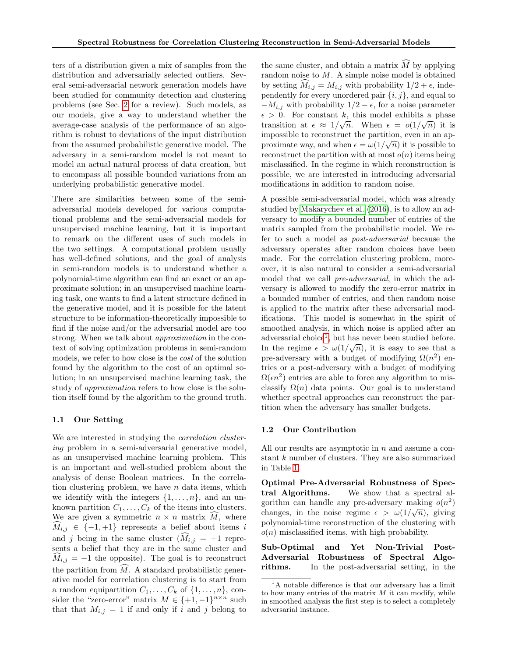ters of a distribution given a mix of samples from the distribution and adversarially selected outliers. Several semi-adversarial network generation models have been studied for community detection and clustering problems (see Sec. [2](#page-2-0) for a review). Such models, as our models, give a way to understand whether the average-case analysis of the performance of an algorithm is robust to deviations of the input distribution from the assumed probabilistic generative model. The adversary in a semi-random model is not meant to model an actual natural process of data creation, but to encompass all possible bounded variations from an underlying probabilistic generative model.

There are similarities between some of the semiadversarial models developed for various computational problems and the semi-adversarial models for unsupervised machine learning, but it is important to remark on the different uses of such models in the two settings. A computational problem usually has well-defined solutions, and the goal of analysis in semi-random models is to understand whether a polynomial-time algorithm can find an exact or an approximate solution; in an unsupervised machine learning task, one wants to find a latent structure defined in the generative model, and it is possible for the latent structure to be information-theoretically impossible to find if the noise and/or the adversarial model are too strong. When we talk about approximation in the context of solving optimization problems in semi-random models, we refer to how close is the cost of the solution found by the algorithm to the cost of an optimal solution; in an unsupervised machine learning task, the study of approximation refers to how close is the solution itself found by the algorithm to the ground truth.

### 1.1 Our Setting

We are interested in studying the *correlation cluster*ing problem in a semi-adversarial generative model, as an unsupervised machine learning problem. This is an important and well-studied problem about the analysis of dense Boolean matrices. In the correlation clustering problem, we have  $n$  data items, which we identify with the integers  $\{1, \ldots, n\}$ , and an unknown partition  $C_1, \ldots, C_k$  of the items into clusters. We are given a symmetric  $n \times n$  matrix  $M$ , where  $M_{i,j} \in \{-1,+1\}$  represents a belief about items i and j being in the same cluster  $(M_{i,j} = +1)$  represents a belief that they are in the same cluster and  $M_{i,j} = -1$  the opposite). The goal is to reconstruct the partition from  $\widehat{M}$ . A standard probabilistic generative model for correlation clustering is to start from a random equipartition  $C_1, \ldots, C_k$  of  $\{1, \ldots, n\}$ , consider the "zero-error" matrix  $M \in \{+1, -1\}^{n \times n}$  such that that  $M_{i,j} = 1$  if and only if i and j belong to the same cluster, and obtain a matrix  $\widehat{M}$  by applying random noise to M. A simple noise model is obtained by setting  $M_{i,j} = M_{i,j}$  with probability  $1/2 + \epsilon$ , independently for every unordered pair  $\{i, j\}$ , and equal to  $-M_{i,j}$  with probability  $1/2 - \epsilon$ , for a noise parameter  $\epsilon > 0$ . For constant k, this model exhibits a phase transition at  $\epsilon \approx 1/\sqrt{n}$ . When  $\epsilon = o(1/\sqrt{n})$  it is impossible to reconstruct the partition, even in an approximate way, and when  $\epsilon = \omega(1/\sqrt{n})$  it is possible to reconstruct the partition with at most  $o(n)$  items being misclassified. In the regime in which reconstruction is possible, we are interested in introducing adversarial modifications in addition to random noise.

A possible semi-adversarial model, which was already studied by [Makarychev et al.](#page-9-0) [\(2016\)](#page-9-0), is to allow an adversary to modify a bounded number of entries of the matrix sampled from the probabilistic model. We refer to such a model as post-adversarial because the adversary operates after random choices have been made. For the correlation clustering problem, moreover, it is also natural to consider a semi-adversarial model that we call pre-adversarial, in which the adversary is allowed to modify the zero-error matrix in a bounded number of entries, and then random noise is applied to the matrix after these adversarial modifications. This model is somewhat in the spirit of smoothed analysis, in which noise is applied after an adversarial choice<sup>[1](#page-1-0)</sup>, but has never been studied before. In the regime  $\epsilon > \omega(1/\sqrt{n})$ , it is easy to see that a pre-adversary with a budget of modifying  $\Omega(n^2)$  entries or a post-adversary with a budget of modifying  $\Omega(\epsilon n^2)$  entries are able to force any algorithm to misclassify  $\Omega(n)$  data points. Our goal is to understand whether spectral approaches can reconstruct the partition when the adversary has smaller budgets.

### 1.2 Our Contribution

All our results are asymptotic in n and assume a constant k number of clusters. They are also summarized in Table [1.](#page-2-1)

Optimal Pre-Adversarial Robustness of Spectral Algorithms. We show that a spectral algorithm can handle any pre-adversary making  $o(n^2)$ changes, in the noise regime  $\epsilon > \omega(1/\sqrt{n})$ , giving polynomial-time reconstruction of the clustering with  $o(n)$  misclassified items, with high probability.

Sub-Optimal and Yet Non-Trivial Post-Adversarial Robustness of Spectral Algorithms. In the post-adversarial setting, in the

<span id="page-1-0"></span><sup>&</sup>lt;sup>1</sup>A notable difference is that our adversary has a limit to how many entries of the matrix  $M$  it can modify, while in smoothed analysis the first step is to select a completely adversarial instance.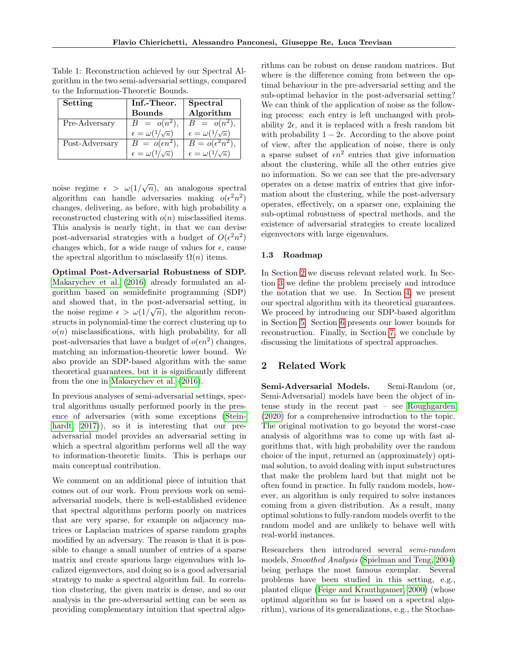| Setting        | Inf.-Theor.                     | Spectral                        |
|----------------|---------------------------------|---------------------------------|
|                | <b>Bounds</b>                   | Algorithm                       |
| Pre-Adversary  | $B = o(n^2),$                   | $B = o(n^2)$ ,                  |
|                | $\epsilon = \omega(1/\sqrt{n})$ | $\epsilon = \omega(1/\sqrt{n})$ |
| Post-Adversary | $B = o(\epsilon n^2),$          | $B = o(\epsilon^2 n^2)$ ,       |
|                | $\epsilon = \omega(1/\sqrt{n})$ | $\epsilon = \omega(1/\sqrt{n})$ |

<span id="page-2-1"></span>Table 1: Reconstruction achieved by our Spectral Algorithm in the two semi-adversarial settings, compared to the Information-Theoretic Bounds.

noise regime  $\epsilon > \omega(1/\sqrt{n})$ , an analogous spectral algorithm can handle adversaries making  $o(\epsilon^2 n^2)$ changes, delivering, as before, with high probability a reconstructed clustering with  $o(n)$  misclassified items. This analysis is nearly tight, in that we can devise post-adversarial strategies with a budget of  $O(\epsilon^2 n^2)$ changes which, for a wide range of values for  $\epsilon$ , cause the spectral algorithm to misclassify  $\Omega(n)$  items.

Optimal Post-Adversarial Robustness of SDP. [Makarychev et al.](#page-9-0) [\(2016\)](#page-9-0) already formulated an algorithm based on semidefinite programming (SDP) and showed that, in the post-adversarial setting, in the noise regime  $\epsilon > \omega(1/\sqrt{n})$ , the algorithm reconstructs in polynomial-time the correct clustering up to  $o(n)$  misclassifications, with high probability, for all post-adversaries that have a budget of  $o(\epsilon n^2)$  changes, matching an information-theoretic lower bound. We also provide an SDP-based algorithm with the same theoretical guarantees, but it is significantly different from the one in [Makarychev et al.](#page-9-0) [\(2016\)](#page-9-0).

In previous analyses of semi-adversarial settings, spectral algorithms usually performed poorly in the presence of adversaries (with some exceptions [\(Stein](#page-10-2)[hardt, 2017\)](#page-10-2), so it is interesting that our preadversarial model provides an adversarial setting in which a spectral algorithm performs well all the way to information-theoretic limits. This is perhaps our main conceptual contribution.

We comment on an additional piece of intuition that comes out of our work. From previous work on semiadversarial models, there is well-established evidence that spectral algorithms perform poorly on matrices that are very sparse, for example on adjacency matrices or Laplacian matrices of sparse random graphs modified by an adversary. The reason is that it is possible to change a small number of entries of a sparse matrix and create spurious large eigenvalues with localized eigenvectors, and doing so is a good adversarial strategy to make a spectral algorithm fail. In correlation clustering, the given matrix is dense, and so our analysis in the pre-adversarial setting can be seen as providing complementary intuition that spectral algorithms can be robust on dense random matrices. But where is the difference coming from between the optimal behaviour in the pre-adversarial setting and the sub-optimal behavior in the post-adversarial setting? We can think of the application of noise as the following process: each entry is left unchanged with probability  $2\epsilon$ , and it is replaced with a fresh random bit with probability  $1 - 2\epsilon$ . According to the above point of view, after the application of noise, there is only a sparse subset of  $\epsilon n^2$  entries that give information about the clustering, while all the other entries give no information. So we can see that the pre-adversary operates on a dense matrix of entries that give information about the clustering, while the post-adversary operates, effectively, on a sparser one, explaining the sub-optimal robustness of spectral methods, and the existence of adversarial strategies to create localized eigenvectors with large eigenvalues.

### 1.3 Roadmap

In Section [2](#page-2-0) we discuss relevant related work. In Section [3](#page-4-0) we define the problem precisely and introduce the notation that we use. In Section [4,](#page-5-0) we present our spectral algorithm with its theoretical guarantees. We proceed by introducing our SDP-based algorithm in Section [5.](#page-7-0) Section [6](#page-7-1) presents our lower bounds for reconstruction. Finally, in Section [7,](#page-8-0) we conclude by discussing the limitations of spectral approaches.

# <span id="page-2-0"></span>2 Related Work

Semi-Adversarial Models. Semi-Random (or, Semi-Adversarial) models have been the object of intense study in the recent past – see [Roughgarden](#page-10-1) [\(2020\)](#page-10-1) for a comprehensive introduction to the topic. The original motivation to go beyond the worst-case analysis of algorithms was to come up with fast algorithms that, with high probability over the random choice of the input, returned an (approximately) optimal solution, to avoid dealing with input substructures that make the problem hard but that might not be often found in practice. In fully random models, however, an algorithm is only required to solve instances coming from a given distribution. As a result, many optimal solutions to fully-random models overfit to the random model and are unlikely to behave well with real-world instances.

Researchers then introduced several semi-random models, Smoothed Analysis [\(Spielman and Teng, 2004\)](#page-10-0) being perhaps the most famous exemplar. Several problems have been studied in this setting, e.g., planted clique [\(Feige and Krauthgamer, 2000\)](#page-9-1) (whose optimal algorithm so far is based on a spectral algorithm), various of its generalizations, e.g., the Stochas-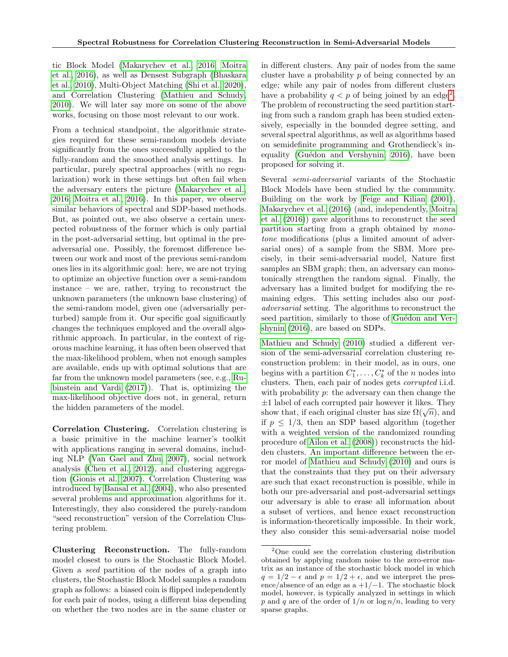tic Block Model [\(Makarychev et al., 2016;](#page-9-0) [Moitra](#page-9-2) [et al., 2016\)](#page-9-2), as well as Densest Subgraph [\(Bhaskara](#page-9-3) [et al., 2010\)](#page-9-3), Multi-Object Matching [\(Shi et al., 2020\)](#page-10-3), and Correlation Clustering [\(Mathieu and Schudy,](#page-9-4) [2010\)](#page-9-4). We will later say more on some of the above works, focusing on those most relevant to our work.

From a technical standpoint, the algorithmic strategies required for these semi-random models deviate significantly from the ones successfully applied to the fully-random and the smoothed analysis settings. In particular, purely spectral approaches (with no regularization) work in these settings but often fail when the adversary enters the picture [\(Makarychev et al.,](#page-9-0) [2016;](#page-9-0) [Moitra et al., 2016\)](#page-9-2). In this paper, we observe similar behaviors of spectral and SDP-based methods. But, as pointed out, we also observe a certain unexpected robustness of the former which is only partial in the post-adversarial setting, but optimal in the preadversarial one. Possibly, the foremost difference between our work and most of the previous semi-random ones lies in its algorithmic goal: here, we are not trying to optimize an objective function over a semi-random instance – we are, rather, trying to reconstruct the unknown parameters (the unknown base clustering) of the semi-random model, given one (adversarially perturbed) sample from it. Our specific goal significantly changes the techniques employed and the overall algorithmic approach. In particular, in the context of rigorous machine learning, it has often been observed that the max-likelihood problem, when not enough samples are available, ends up with optimal solutions that are far from the unknown model parameters (see, e.g., [Ru](#page-10-4)[binstein and Vardi](#page-10-4) [\(2017\)](#page-10-4)). That is, optimizing the max-likelihood objective does not, in general, return the hidden parameters of the model.

Correlation Clustering. Correlation clustering is a basic primitive in the machine learner's toolkit with applications ranging in several domains, including NLP [\(Van Gael and Zhu, 2007\)](#page-10-5), social network analysis [\(Chen et al., 2012\)](#page-9-5), and clustering aggregation [\(Gionis et al., 2007\)](#page-9-6). Correlation Clustering was introduced by [Bansal et al.](#page-9-7) [\(2004\)](#page-9-7), who also presented several problems and approximation algorithms for it. Interestingly, they also considered the purely-random "seed reconstruction" version of the Correlation Clustering problem.

Clustering Reconstruction. The fully-random model closest to ours is the Stochastic Block Model. Given a seed partition of the nodes of a graph into clusters, the Stochastic Block Model samples a random graph as follows: a biased coin is flipped independently for each pair of nodes, using a different bias depending on whether the two nodes are in the same cluster or in different clusters. Any pair of nodes from the same cluster have a probability  $p$  of being connected by an edge; while any pair of nodes from different clusters have a probability  $q < p$  of being joined by an edge<sup>[2](#page-3-0)</sup>. The problem of reconstructing the seed partition starting from such a random graph has been studied extensively, especially in the bounded degree setting, and several spectral algorithms, as well as algorithms based on semidefinite programming and Grothendieck's inequality (Guédon and Vershynin, 2016), have been proposed for solving it.

Several semi-adversarial variants of the Stochastic Block Models have been studied by the community. Building on the work by [Feige and Kilian](#page-9-9) [\(2001\)](#page-9-9), [Makarychev et al.](#page-9-0) [\(2016\)](#page-9-0) (and, independently, [Moitra](#page-9-2) [et al.](#page-9-2) [\(2016\)](#page-9-2)) gave algorithms to reconstruct the seed partition starting from a graph obtained by monotone modifications (plus a limited amount of adversarial ones) of a sample from the SBM. More precisely, in their semi-adversarial model, Nature first samples an SBM graph; then, an adversary can monotonically strengthen the random signal. Finally, the adversary has a limited budget for modifying the remaining edges. This setting includes also our postadversarial setting. The algorithms to reconstruct the seed partition, similarly to those of Guédon and Ver[shynin](#page-9-8) [\(2016\)](#page-9-8), are based on SDPs.

[Mathieu and Schudy](#page-9-4) [\(2010\)](#page-9-4) studied a different version of the semi-adversarial correlation clustering reconstruction problem: in their model, as in ours, one begins with a partition  $C_1^*, \ldots, C_k^*$  of the *n* nodes into clusters. Then, each pair of nodes gets corrupted i.i.d. with probability  $p$ : the adversary can then change the  $\pm 1$  label of each corrupted pair however it likes. They  $\pm$ 1 label of each corrupted pair however it likes. They show that, if each original cluster has size  $\Omega(\sqrt{n})$ , and if  $p \leq 1/3$ , then an SDP based algorithm (together with a weighted version of the randomized rounding procedure of [Ailon et al.](#page-9-10) [\(2008\)](#page-9-10)) reconstructs the hidden clusters. An important difference between the error model of [Mathieu and Schudy](#page-9-4) [\(2010\)](#page-9-4) and ours is that the constraints that they put on their adversary are such that exact reconstruction is possible, while in both our pre-adversarial and post-adversarial settings our adversary is able to erase all information about a subset of vertices, and hence exact reconstruction is information-theoretically impossible. In their work, they also consider this semi-adversarial noise model

<span id="page-3-0"></span><sup>2</sup>One could see the correlation clustering distribution obtained by applying random noise to the zero-error matrix as an instance of the stochastic block model in which  $q = 1/2 - \epsilon$  and  $p = 1/2 + \epsilon$ , and we interpret the presence/absence of an edge as a  $+1/-1$ . The stochastic block model, however, is typically analyzed in settings in which p and q are of the order of  $1/n$  or  $\log n/n$ , leading to very sparse graphs.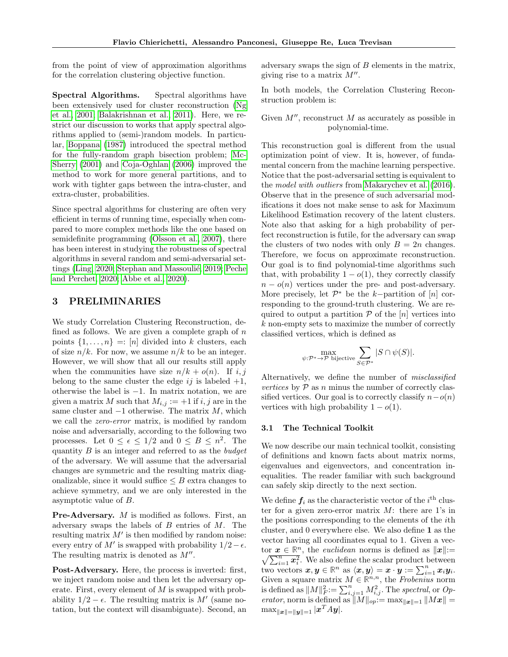from the point of view of approximation algorithms for the correlation clustering objective function.

Spectral Algorithms. Spectral algorithms have been extensively used for cluster reconstruction [\(Ng](#page-10-6) [et al., 2001;](#page-10-6) [Balakrishnan et al., 2011\)](#page-9-11). Here, we restrict our discussion to works that apply spectral algorithms applied to (semi-)random models. In particular, [Boppana](#page-9-12) [\(1987\)](#page-9-12) introduced the spectral method for the fully-random graph bisection problem; [Mc-](#page-9-13)[Sherry](#page-9-13) [\(2001\)](#page-9-13) and [Coja-Oghlan](#page-9-14) [\(2006\)](#page-9-14) improved the method to work for more general partitions, and to work with tighter gaps between the intra-cluster, and extra-cluster, probabilities.

Since spectral algorithms for clustering are often very efficient in terms of running time, especially when compared to more complex methods like the one based on semidefinite programming [\(Olsson et al., 2007\)](#page-10-7), there has been interest in studying the robustness of spectral algorithms in several random and semi-adversarial set-tings [\(Ling, 2020;](#page-9-15) Stephan and Massoulié, 2019; [Peche](#page-10-9) [and Perchet, 2020;](#page-10-9) [Abbe et al., 2020\)](#page-9-16).

## <span id="page-4-0"></span>3 PRELIMINARIES

We study Correlation Clustering Reconstruction, defined as follows. We are given a complete graph of  $n$ points  $\{1, \ldots, n\} = |n|$  divided into k clusters, each of size  $n/k$ . For now, we assume  $n/k$  to be an integer. However, we will show that all our results still apply when the communities have size  $n/k + o(n)$ . If i, j belong to the same cluster the edge  $ij$  is labeled  $+1$ , otherwise the label is −1. In matrix notation, we are given a matrix M such that  $M_{i,j} := +1$  if i, j are in the same cluster and  $-1$  otherwise. The matrix  $M$ , which we call the *zero-error* matrix, is modified by random noise and adversarially, according to the following two processes. Let  $0 \leq \epsilon \leq 1/2$  and  $0 \leq B \leq n^2$ . The quantity  $B$  is an integer and referred to as the *budget* of the adversary. We will assume that the adversarial changes are symmetric and the resulting matrix diagonalizable, since it would suffice  $\leq B$  extra changes to achieve symmetry, and we are only interested in the asymptotic value of B.

Pre-Adversary. M is modified as follows. First, an adversary swaps the labels of  $B$  entries of  $M$ . The resulting matrix  $M'$  is then modified by random noise: every entry of M' is swapped with probability  $1/2 - \epsilon$ . The resulting matrix is denoted as  $M''$ .

Post-Adversary. Here, the process is inverted: first, we inject random noise and then let the adversary operate. First, every element of  $M$  is swapped with probability  $1/2 - \epsilon$ . The resulting matrix is M' (same notation, but the context will disambiguate). Second, an adversary swaps the sign of  $B$  elements in the matrix, giving rise to a matrix  $M''$ .

In both models, the Correlation Clustering Reconstruction problem is:

Given  $M''$ , reconstruct  $M$  as accurately as possible in polynomial-time.

This reconstruction goal is different from the usual optimization point of view. It is, however, of fundamental concern from the machine learning perspective. Notice that the post-adversarial setting is equivalent to the model with outliers from [Makarychev et al.](#page-9-0) [\(2016\)](#page-9-0). Observe that in the presence of such adversarial modifications it does not make sense to ask for Maximum Likelihood Estimation recovery of the latent clusters. Note also that asking for a high probability of perfect reconstruction is futile, for the adversary can swap the clusters of two nodes with only  $B = 2n$  changes. Therefore, we focus on approximate reconstruction. Our goal is to find polynomial-time algorithms such that, with probability  $1 - o(1)$ , they correctly classify  $n - o(n)$  vertices under the pre- and post-adversary. More precisely, let  $\mathcal{P}^*$  be the k-partition of  $[n]$  corresponding to the ground-truth clustering. We are required to output a partition  $P$  of the  $[n]$  vertices into k non-empty sets to maximize the number of correctly classified vertices, which is defined as

$$
\max_{\psi: \mathcal{P}^* \to \mathcal{P} \text{ bijective}} \sum_{S \in \mathcal{P}^*} |S \cap \psi(S)|.
$$

Alternatively, we define the number of misclassified vertices by  $P$  as n minus the number of correctly classified vertices. Our goal is to correctly classify  $n-o(n)$ vertices with high probability  $1 - o(1)$ .

### 3.1 The Technical Toolkit

We now describe our main technical toolkit, consisting of definitions and known facts about matrix norms, eigenvalues and eigenvectors, and concentration inequalities. The reader familiar with such background can safely skip directly to the next section.

We define  $f_i$  as the characteristic vector of the  $i<sup>th</sup>$  cluster for a given zero-error matrix  $M$ : there are 1's in the positions corresponding to the elements of the ith cluster, and 0 everywhere else. We also define 1 as the vector having all coordinates equal to 1. Given a vector  $\mathbf{x} \in \mathbb{R}^n$ , the *euclidean* norms is defined as  $\|\mathbf{x}\| :=$  $\sqrt{\sum_{i=1}^{n} x_i^2}$ . We also define the scalar product between two vectors  $\boldsymbol{x}, \boldsymbol{y} \in \mathbb{R}^n$  as  $\langle \boldsymbol{x}, \boldsymbol{y} \rangle = \boldsymbol{x} \cdot \boldsymbol{y} := \sum_{i=1}^n x_i y_i$ . Given a square matrix  $M \in \mathbb{R}^{n,n}$ , the Frobenius norm is defined as  $||M||_F^2 := \sum_{i,j=1}^n M_{i,j}^2$ . The spectral, or Operator, norm is defined as  $||M||_{op}:= \max_{||\boldsymbol{x}||=1} ||M\boldsymbol{x}|| =$  $\max_{\|\boldsymbol{x}\|=\|\boldsymbol{y}\|=1}| \boldsymbol{x}^T A \boldsymbol{y}|.$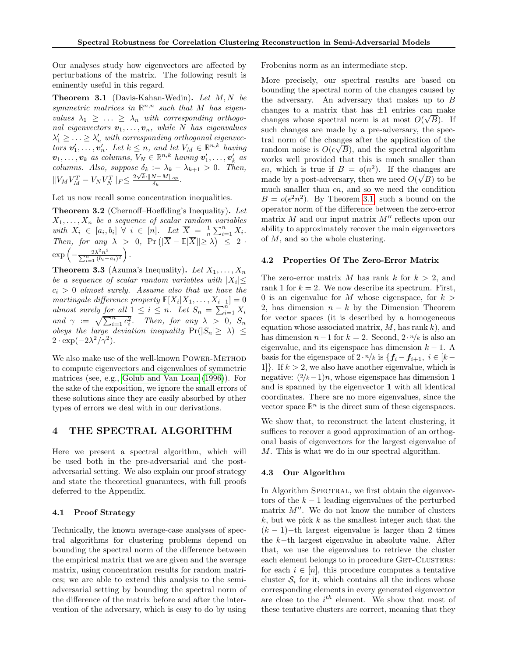Our analyses study how eigenvectors are affected by perturbations of the matrix. The following result is eminently useful in this regard.

<span id="page-5-1"></span>**Theorem 3.1** (Davis-Kahan-Wedin). Let  $M, N$  be symmetric matrices in  $\mathbb{R}^{n,n}$  such that M has eigenvalues  $\lambda_1 \geq \ldots \geq \lambda_n$  with corresponding orthogonal eigenvectors  $v_1, \ldots, v_n$ , while N has eigenvalues  $\lambda'_1 \geq \ldots \geq \lambda'_n$  with corresponding orthogonal eigenvectors  $v'_1, \ldots, v'_n$ . Let  $k \leq n$ , and let  $V_M \in \mathbb{R}^{n,k}$  having  $v_1, \ldots, v_k$  as columns,  $V_N \in \mathbb{R}^{n,k}$  having  $v'_1, \ldots, v'_k$  as  $v_1, \ldots, v_k$  as columns,  $v_N \in \mathbb{N}$  having  $v_1, \ldots, v_k$  as<br>columns. Also, suppose  $\delta_k := \lambda_k - \lambda_{k+1} > 0$ . Then,  $||V_M V_M^T - V_N V_N^T||_F \leq \frac{2\sqrt{k} \cdot ||N-M||_{op}}{\delta_k}$  $\frac{\delta_{k} - M \parallel op}{\delta_{k}}$ .

Let us now recall some concentration inequalities.

<span id="page-5-2"></span>Theorem 3.2 (Chernoff–Hoeffding's Inequality). Let  $X_1, \ldots, X_n$  be a sequence of scalar random variables with  $X_i \in [a_i, b_i] \ \forall \ i \in [n]$ . Let  $\overline{X} = \frac{1}{n} \sum_{i=1}^n X_i$ . Then, for any  $\lambda > 0$ ,  $\Pr(|\overline{X} - \mathbb{E}|\overline{X}| \ge \lambda) \le 2$ .  $\exp\left(-\frac{2\lambda^2 n^2}{\sum_{i=1}^n (b_i - a_i)^2}\right).$ 

<span id="page-5-3"></span>**Theorem 3.3** (Azuma's Inequality). Let  $X_1, \ldots, X_n$ be a sequence of scalar random variables with  $|X_i| \leq$  $c_i > 0$  almost surely. Assume also that we have the martingale difference property  $\mathbb{E}[X_i|X_1,\ldots,X_{i-1}] = 0$ almost surely for all  $1 \leq i \leq n$ . Let  $S_n = \sum_{i=1}^n X_i$ and  $\gamma := \sqrt{\sum_{i=1}^n c_i^2}$ . Then, for any  $\lambda > 0$ ,  $S_n$ obeys the large deviation inequality  $Pr(|S_n| \geq \lambda) \leq$  $2 \cdot \exp(-2\lambda^2/\gamma^2)$ .

We also make use of the well-known POWER-METHOD to compute eigenvectors and eigenvalues of symmetric matrices (see, e.g., [Golub and Van Loan](#page-9-17) [\(1996\)](#page-9-17)). For the sake of the exposition, we ignore the small errors of these solutions since they are easily absorbed by other types of errors we deal with in our derivations.

### <span id="page-5-0"></span>4 THE SPECTRAL ALGORITHM

Here we present a spectral algorithm, which will be used both in the pre-adversarial and the postadversarial setting. We also explain our proof strategy and state the theoretical guarantees, with full proofs deferred to the Appendix.

### 4.1 Proof Strategy

Technically, the known average-case analyses of spectral algorithms for clustering problems depend on bounding the spectral norm of the difference between the empirical matrix that we are given and the average matrix, using concentration results for random matrices; we are able to extend this analysis to the semiadversarial setting by bounding the spectral norm of the difference of the matrix before and after the intervention of the adversary, which is easy to do by using Frobenius norm as an intermediate step.

More precisely, our spectral results are based on bounding the spectral norm of the changes caused by the adversary. An adversary that makes up to B changes to a matrix that has  $\pm 1$  entries can make changes whose spectral norm is at most  $O(\sqrt{B})$ . If such changes are made by a pre-adversary, the spectral norm of the changes after the application of the random noise is  $O(\epsilon \sqrt{B})$ , and the spectral algorithm works well provided that this is much smaller than  $\epsilon n$ , which is true if  $B = o(n^2)$ . If the changes are made by a post-adversary, then we need  $O(\sqrt{B})$  to be much smaller than  $\epsilon n$ , and so we need the condition  $B = o(\epsilon^2 n^2)$ . By Theorem [3.1,](#page-5-1) such a bound on the operator norm of the difference between the zero-error matrix  $M$  and our input matrix  $M''$  reflects upon our ability to approximately recover the main eigenvectors of M, and so the whole clustering.

### 4.2 Properties Of The Zero-Error Matrix

The zero-error matrix M has rank k for  $k > 2$ , and rank 1 for  $k = 2$ . We now describe its spectrum. First, 0 is an eigenvalue for M whose eigenspace, for  $k >$ 2, has dimension  $n - k$  by the Dimension Theorem for vector spaces (it is described by a homogeneous equation whose associated matrix,  $M$ , has rank  $k$ ), and has dimension  $n-1$  for  $k = 2$ . Second,  $2 \cdot n/k$  is also an eigenvalue, and its eigenspace has dimension  $k - 1$ . A basis for the eigenspace of  $2 \cdot n/k$  is  $\{f_i - f_{i+1}, i \in [k-1]$ 1. If  $k > 2$ , we also have another eigenvalue, which is negative:  $(2/k-1)n$ , whose eigenspace has dimension 1 and is spanned by the eigenvector 1 with all identical coordinates. There are no more eigenvalues, since the vector space  $\mathbb{R}^n$  is the direct sum of these eigenspaces.

We show that, to reconstruct the latent clustering, it suffices to recover a good approximation of an orthogonal basis of eigenvectors for the largest eigenvalue of M. This is what we do in our spectral algorithm.

#### 4.3 Our Algorithm

In Algorithm SPECTRAL, we first obtain the eigenvectors of the  $k-1$  leading eigenvalues of the perturbed matrix  $M''$ . We do not know the number of clusters  $k$ , but we pick  $k$  as the smallest integer such that the  $(k-1)$ −th largest eigenvalue is larger than 2 times the k−th largest eigenvalue in absolute value. After that, we use the eigenvalues to retrieve the cluster each element belongs to in procedure GET-CLUSTERS: for each  $i \in [n]$ , this procedure computes a tentative cluster  $S_i$  for it, which contains all the indices whose corresponding elements in every generated eigenvector are close to the  $i^{th}$  element. We show that most of these tentative clusters are correct, meaning that they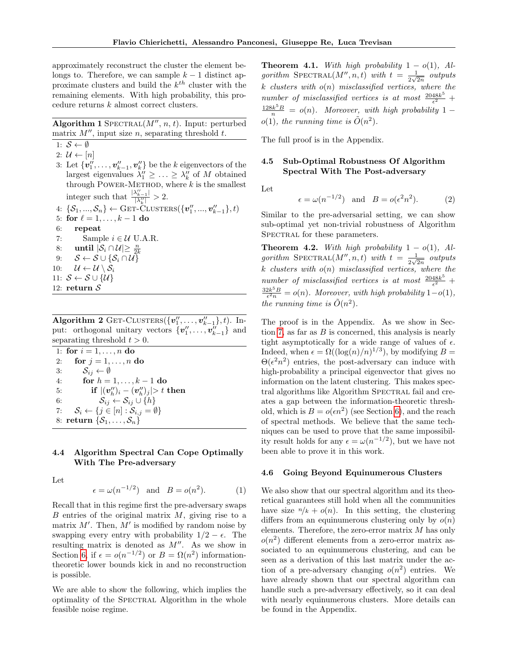approximately reconstruct the cluster the element belongs to. Therefore, we can sample  $k-1$  distinct approximate clusters and build the  $k^{th}$  cluster with the remaining elements. With high probability, this procedure returns k almost correct clusters.

Algorithm 1 SPECTRAL $(M'', n, t)$ . Input: perturbed matrix  $M''$ , input size n, separating threshold t.

<span id="page-6-3"></span>1:  $S \leftarrow \emptyset$ 

<span id="page-6-2"></span>2:  $\mathcal{U} \leftarrow [n]$ 

3: Let  $\{v''_1, \ldots, v''_{k-1}, v''_k\}$  be the k eigenvectors of the largest eigenvalues  $\lambda_1'' \geq \ldots \geq \lambda_k''$  of M obtained through POWER-METHOD, where  $k$  is the smallest integer such that  $\frac{|\lambda''_{k-1}|}{|\lambda''|}$  $\frac{\gamma_{k-1}}{|\lambda''_k|} > 2.$ 

4: 
$$
\{S_1, ..., S_n\} \leftarrow
$$
 GET-CLUSTERS( $\{v''_1, ..., v''_{k-1}\}, t$ )

- 5: for  $\ell = 1, \ldots, k 1$  do
- 6: repeat
- <span id="page-6-5"></span>7: Sample  $i \in \mathcal{U}$  U.A.R.
- <span id="page-6-4"></span>8: until  $|\mathcal{S}_i \cap \mathcal{U}| \geq \frac{n}{2k}$
- 9:  $S \leftarrow S \cup \{S_i \cap U\}$
- 10:  $\mathcal{U} \leftarrow \mathcal{U} \setminus \mathcal{S}_i$ 11:  $S \leftarrow S \cup \{\mathcal{U}\}\$
- 12: return  $\mathcal S$

Algorithm 2 GET-CLUSTERS $({v''_1, \ldots, v''_{k-1}}), t$ ). Input: orthogonal unitary vectors  $\{v''_1, \ldots, v''_{k-1}\}$  and separating threshold  $t > 0$ .

|    | 1: for $i = 1, , n$ do                                                   |
|----|--------------------------------------------------------------------------|
| 2: | for $j = 1, \ldots, n$ do                                                |
|    | $\mathcal{S}_{ij} \leftarrow \emptyset$<br>3:                            |
| 4: | for $h = 1, , k - 1$ do                                                  |
| 5: | if $ (\mathbf{v}_h'')_i - (\mathbf{v}_h'')_i  > t$ then                  |
| 6: | $S_{ij} \leftarrow S_{ij} \cup \{h\}$                                    |
| 7: | $\mathcal{S}_i \leftarrow \{j \in [n] : \mathcal{S}_{i,j} = \emptyset\}$ |
|    | 8: return $\{\mathcal{S}_1,\ldots,\mathcal{S}_n\}$                       |

### 4.4 Algorithm Spectral Can Cope Optimally With The Pre-adversary

Let

<span id="page-6-1"></span>
$$
\epsilon = \omega(n^{-1/2}) \quad \text{and} \quad B = o(n^2). \tag{1}
$$

Recall that in this regime first the pre-adversary swaps  $B$  entries of the original matrix  $M$ , giving rise to a matrix  $M'$ . Then,  $M'$  is modified by random noise by swapping every entry with probability  $1/2 - \epsilon$ . The resulting matrix is denoted as  $M''$ . As we show in Section [6,](#page-7-1) if  $\epsilon = o(n^{-1/2})$  or  $B = \Omega(n^2)$  informationtheoretic lower bounds kick in and no reconstruction is possible.

We are able to show the following, which implies the optimality of the SPECTRAL Algorithm in the whole feasible noise regime.

<span id="page-6-0"></span>**Theorem 4.1.** With high probability  $1 - o(1)$ , Algorithm SPECTRAL $(M'', n, t)$  with  $t = \frac{1}{2\sqrt{3}}$  $rac{1}{2\sqrt{2n}}$  outputs k clusters with  $o(n)$  misclassified vertices, where the number of misclassified vertices is at most  $\frac{2048k^5}{\epsilon^2}$  $\frac{48k^3}{\epsilon^2}$  +  $\frac{128k^5B}{n} = o(n)$ . Moreover, with high probability 1 –  $o(1)$ , the running time is  $\tilde{O}(n^2)$ .

The full proof is in the Appendix.

### 4.5 Sub-Optimal Robustness Of Algorithm Spectral With The Post-adversary

Let

<span id="page-6-7"></span>
$$
\epsilon = \omega(n^{-1/2})
$$
 and  $B = o(\epsilon^2 n^2)$ . (2)

Similar to the pre-adversarial setting, we can show sub-optimal yet non-trivial robustness of Algorithm SPECTRAL for these parameters.

<span id="page-6-6"></span>**Theorem 4.2.** With high probability  $1 - o(1)$ , Algorithm SPECTRAL $(M'', n, t)$  with  $t = \frac{1}{2\sqrt{3}}$  $rac{1}{2\sqrt{2n}}$  outputs  $k$  clusters with  $o(n)$  misclassified vertices, where the number of misclassified vertices is at most  $\frac{2048k^5}{\epsilon^2}$  $\frac{48k^3}{\epsilon^2}$  +  $\frac{32k^5B}{\epsilon^2n} = o(n)$ . Moreover, with high probability  $1-o(1)$ , the running time is  $\tilde{O}(n^2)$ .

The proof is in the Appendix. As we show in Sec-tion [7,](#page-8-0) as far as  $B$  is concerned, this analysis is nearly tight asymptotically for a wide range of values of  $\epsilon$ . Indeed, when  $\epsilon = \Omega((\log(n)/n)^{1/3})$ , by modifying  $B =$  $\Theta(\epsilon^2 n^2)$  entries, the post-adversary can induce with high-probability a principal eigenvector that gives no information on the latent clustering. This makes spectral algorithms like Algorithm SPECTRAL fail and creates a gap between the information-theoretic threshold, which is  $B = o(\epsilon n^2)$  (see Section [6\)](#page-7-1), and the reach of spectral methods. We believe that the same techniques can be used to prove that the same impossibility result holds for any  $\epsilon = \omega(n^{-1/2})$ , but we have not been able to prove it in this work.

#### 4.6 Going Beyond Equinumerous Clusters

We also show that our spectral algorithm and its theoretical guarantees still hold when all the communities have size  $n/k + o(n)$ . In this setting, the clustering differs from an equinumerous clustering only by  $o(n)$ elements. Therefore, the zero-error matrix  $M$  has only  $o(n^2)$  different elements from a zero-error matrix associated to an equinumerous clustering, and can be seen as a derivation of this last matrix under the action of a pre-adversary changing  $o(n^2)$  entries. We have already shown that our spectral algorithm can handle such a pre-adversary effectively, so it can deal with nearly equinumerous clusters. More details can be found in the Appendix.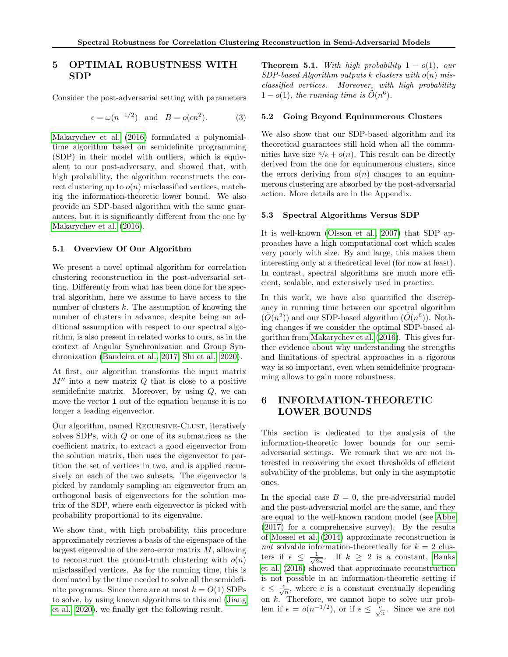# <span id="page-7-0"></span>5 OPTIMAL ROBUSTNESS WITH SDP

Consider the post-adversarial setting with parameters

<span id="page-7-2"></span>
$$
\epsilon = \omega(n^{-1/2})
$$
 and  $B = o(\epsilon n^2)$ . (3)

[Makarychev et al.](#page-9-0) [\(2016\)](#page-9-0) formulated a polynomialtime algorithm based on semidefinite programming (SDP) in their model with outliers, which is equivalent to our post-adversary, and showed that, with high probability, the algorithm reconstructs the correct clustering up to  $o(n)$  misclassified vertices, matching the information-theoretic lower bound. We also provide an SDP-based algorithm with the same guarantees, but it is significantly different from the one by [Makarychev et al.](#page-9-0) [\(2016\)](#page-9-0).

### 5.1 Overview Of Our Algorithm

We present a novel optimal algorithm for correlation clustering reconstruction in the post-adversarial setting. Differently from what has been done for the spectral algorithm, here we assume to have access to the number of clusters  $k$ . The assumption of knowing the number of clusters in advance, despite being an additional assumption with respect to our spectral algorithm, is also present in related works to ours, as in the context of Angular Synchronization and Group Synchronization [\(Bandeira et al., 2017;](#page-9-18) [Shi et al., 2020\)](#page-10-3).

At first, our algorithm transforms the input matrix  $M''$  into a new matrix  $Q$  that is close to a positive semidefinite matrix. Moreover, by using  $Q$ , we can move the vector 1 out of the equation because it is no longer a leading eigenvector.

Our algorithm, named RECURSIVE-CLUST, iteratively solves SDPs, with Q or one of its submatrices as the coefficient matrix, to extract a good eigenvector from the solution matrix, then uses the eigenvector to partition the set of vertices in two, and is applied recursively on each of the two subsets. The eigenvector is picked by randomly sampling an eigenvector from an orthogonal basis of eigenvectors for the solution matrix of the SDP, where each eigenvector is picked with probability proportional to its eigenvalue.

We show that, with high probability, this procedure approximately retrieves a basis of the eigenspace of the largest eigenvalue of the zero-error matrix  $M$ , allowing to reconstruct the ground-truth clustering with  $o(n)$ misclassified vertices. As for the running time, this is dominated by the time needed to solve all the semidefinite programs. Since there are at most  $k = O(1)$  SDPs to solve, by using known algorithms to this end [\(Jiang](#page-9-19) [et al., 2020\)](#page-9-19), we finally get the following result.

**Theorem 5.1.** With high probability  $1 - o(1)$ , our  $SDP$ -based Algorithm outputs k clusters with  $o(n)$  misclassified vertices. Moreover, with high probability  $1 - o(1)$ , the running time is  $\tilde{O}(n^6)$ .

#### 5.2 Going Beyond Equinumerous Clusters

We also show that our SDP-based algorithm and its theoretical guarantees still hold when all the communities have size  $n/k + o(n)$ . This result can be directly derived from the one for equinumerous clusters, since the errors deriving from  $o(n)$  changes to an equinumerous clustering are absorbed by the post-adversarial action. More details are in the Appendix.

### 5.3 Spectral Algorithms Versus SDP

It is well-known [\(Olsson et al., 2007\)](#page-10-7) that SDP approaches have a high computational cost which scales very poorly with size. By and large, this makes them interesting only at a theoretical level (for now at least). In contrast, spectral algorithms are much more efficient, scalable, and extensively used in practice.

In this work, we have also quantified the discrepancy in running time between our spectral algorithm  $(\tilde{O}(n^2))$  and our SDP-based algorithm  $(\tilde{O}(n^6))$ . Nothing changes if we consider the optimal SDP-based algorithm from [Makarychev et al.](#page-9-0) [\(2016\)](#page-9-0). This gives further evidence about why understanding the strengths and limitations of spectral approaches in a rigorous way is so important, even when semidefinite programming allows to gain more robustness.

# <span id="page-7-1"></span>6 INFORMATION-THEORETIC LOWER BOUNDS

This section is dedicated to the analysis of the information-theoretic lower bounds for our semiadversarial settings. We remark that we are not interested in recovering the exact thresholds of efficient solvability of the problems, but only in the asymptotic ones.

In the special case  $B = 0$ , the pre-adversarial model and the post-adversarial model are the same, and they are equal to the well-known random model (see [Abbe](#page-9-20) [\(2017\)](#page-9-20) for a comprehensive survey). By the results of [Mossel et al.](#page-9-21) [\(2014\)](#page-9-21) approximate reconstruction is not solvable information-theoretically for  $k = 2$  clusters if  $\epsilon \leq \frac{1}{\sqrt{2}}$  $\frac{1}{2n}$ . If  $k \geq 2$  is a constant, [Banks](#page-9-22) [et al.](#page-9-22) [\(2016\)](#page-9-22) showed that approximate reconstruction is not possible in an information-theoretic setting if  $\epsilon \leq \frac{c}{\sqrt{n}}$ , where c is a constant eventually depending on k. Therefore, we cannot hope to solve our problem if  $\epsilon = o(n^{-1/2})$ , or if  $\epsilon \leq \frac{c}{\sqrt{n}}$ . Since we are not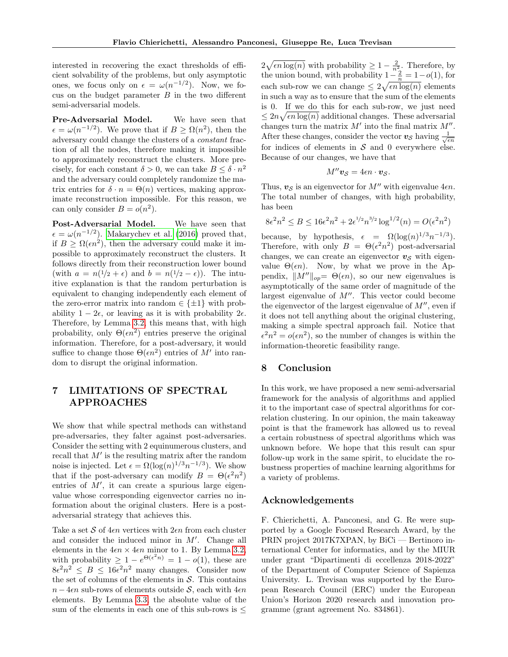interested in recovering the exact thresholds of efficient solvability of the problems, but only asymptotic ones, we focus only on  $\epsilon = \omega(n^{-1/2})$ . Now, we focus on the budget parameter  $B$  in the two different semi-adversarial models.

Pre-Adversarial Model. We have seen that  $\epsilon = \omega(n^{-1/2})$ . We prove that if  $B \geq \Omega(n^2)$ , then the adversary could change the clusters of a constant fraction of all the nodes, therefore making it impossible to approximately reconstruct the clusters. More precisely, for each constant  $\delta > 0$ , we can take  $B \leq \delta \cdot n^2$ and the adversary could completely randomize the matrix entries for  $\delta \cdot n = \Theta(n)$  vertices, making approximate reconstruction impossible. For this reason, we can only consider  $B = o(n^2)$ .

Post-Adversarial Model. We have seen that  $\epsilon = \omega(n^{-1/2})$ . [Makarychev et al.](#page-9-0) [\(2016\)](#page-9-0) proved that, if  $B \geq \Omega(\epsilon n^2)$ , then the adversary could make it impossible to approximately reconstruct the clusters. It follows directly from their reconstruction lower bound (with  $a = n(1/2 + \epsilon)$  and  $b = n(1/2 - \epsilon)$ ). The intuitive explanation is that the random perturbation is equivalent to changing independently each element of the zero-error matrix into random  $\in \{\pm 1\}$  with probability  $1 - 2\epsilon$ , or leaving as it is with probability  $2\epsilon$ . Therefore, by Lemma [3.2,](#page-5-2) this means that, with high probability, only  $\Theta(\epsilon n^2)$  entries preserve the original information. Therefore, for a post-adversary, it would suffice to change those  $\Theta(\epsilon n^2)$  entries of M' into random to disrupt the original information.

# <span id="page-8-0"></span>7 LIMITATIONS OF SPECTRAL APPROACHES

We show that while spectral methods can withstand pre-adversaries, they falter against post-adversaries. Consider the setting with 2 equinumerous clusters, and recall that  $M'$  is the resulting matrix after the random noise is injected. Let  $\epsilon = \Omega(\log(n)^{1/3}n^{-1/3})$ . We show that if the post-adversary can modify  $B = \Theta(\epsilon^2 n^2)$ entries of  $M'$ , it can create a spurious large eigenvalue whose corresponding eigenvector carries no information about the original clusters. Here is a postadversarial strategy that achieves this.

Take a set S of  $4\epsilon n$  vertices with  $2\epsilon n$  from each cluster and consider the induced minor in  $M'$ . Change all elements in the  $4\epsilon n \times 4\epsilon n$  minor to 1. By Lemma [3.2,](#page-5-2) with probability  $\geq 1 - e^{\Theta(\epsilon^2 n)} = 1 - o(1)$ , these are  $8\epsilon^2 n^2 \leq B \leq 16\epsilon^2 n^2$  many changes. Consider now the set of columns of the elements in  $S$ . This contains  $n-4\epsilon n$  sub-rows of elements outside S, each with  $4\epsilon n$ elements. By Lemma [3.3,](#page-5-3) the absolute value of the sum of the elements in each one of this sub-rows is  $\leq$ 

 $2\sqrt{\epsilon n \log(n)}$  with probability  $\geq 1 - \frac{2}{n_0^2}$ . Therefore, by the union bound, with probability  $1-\frac{2}{n} = 1-o(1)$ , for each sub-row we can change  $\leq 2\sqrt{\epsilon n \log(n)}$  elements in such a way as to ensure that the sum of the elements is 0. If we do this for each sub-row, we just need  $\leq 2n\sqrt{\epsilon n \log(n)}$  additional changes. These adversarial changes turn the matrix  $M'$  into the final matrix  $M''$ . After these changes, consider the vector  $v_{\mathcal{S}}$  having  $\frac{1}{\sqrt{\epsilon n}}$ for indices of elements in  $S$  and 0 everywhere else. Because of our changes, we have that

$$
M''\mathbf{v}_{\mathcal{S}}=4\epsilon n\cdot\mathbf{v}_{\mathcal{S}}.
$$

Thus,  $v_s$  is an eigenvector for M'' with eigenvalue  $4\epsilon n$ . The total number of changes, with high probability, has been

$$
8\epsilon^2 n^2 \le B \le 16\epsilon^2 n^2 + 2\epsilon^{1/2} n^{3/2} \log^{1/2}(n) = O(\epsilon^2 n^2)
$$

because, by hypothesis,  $\epsilon = \Omega(\log(n)^{1/3}n^{-1/3})$ . Therefore, with only  $B = \Theta(\epsilon^2 n^2)$  post-adversarial changes, we can create an eigenvector  $v<sub>S</sub>$  with eigenvalue  $\Theta(\epsilon n)$ . Now, by what we prove in the Appendix,  $||M''||_{op} = \Theta(\epsilon n)$ , so our new eigenvalues is asymptotically of the same order of magnitude of the largest eigenvalue of  $M''$ . This vector could become the eigenvector of the largest eigenvalue of  $M''$ , even if it does not tell anything about the original clustering, making a simple spectral approach fail. Notice that  $\epsilon^2 n^2 = o(\epsilon n^2)$ , so the number of changes is within the information-theoretic feasibility range.

## 8 Conclusion

In this work, we have proposed a new semi-adversarial framework for the analysis of algorithms and applied it to the important case of spectral algorithms for correlation clustering. In our opinion, the main takeaway point is that the framework has allowed us to reveal a certain robustness of spectral algorithms which was unknown before. We hope that this result can spur follow-up work in the same spirit, to elucidate the robustness properties of machine learning algorithms for a variety of problems.

# Acknowledgements

F. Chierichetti, A. Panconesi, and G. Re were supported by a Google Focused Research Award, by the PRIN project 2017K7XPAN, by BiCi — Bertinoro international Center for informatics, and by the MIUR under grant "Dipartimenti di eccellenza 2018-2022" of the Department of Computer Science of Sapienza University. L. Trevisan was supported by the European Research Council (ERC) under the European Union's Horizon 2020 research and innovation programme (grant agreement No. 834861).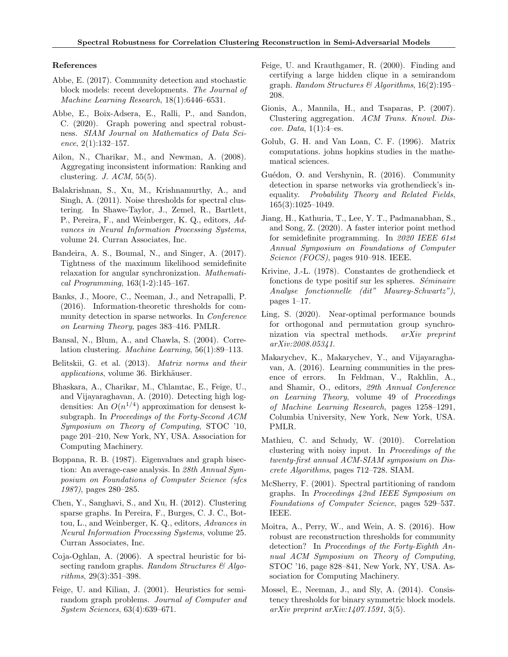### References

- <span id="page-9-20"></span>Abbe, E. (2017). Community detection and stochastic block models: recent developments. The Journal of Machine Learning Research, 18(1):6446–6531.
- <span id="page-9-16"></span>Abbe, E., Boix-Adsera, E., Ralli, P., and Sandon, C. (2020). Graph powering and spectral robustness. SIAM Journal on Mathematics of Data Science,  $2(1):132-157$ .
- <span id="page-9-10"></span>Ailon, N., Charikar, M., and Newman, A. (2008). Aggregating inconsistent information: Ranking and clustering. J.  $ACM$ , 55(5).
- <span id="page-9-11"></span>Balakrishnan, S., Xu, M., Krishnamurthy, A., and Singh, A. (2011). Noise thresholds for spectral clustering. In Shawe-Taylor, J., Zemel, R., Bartlett, P., Pereira, F., and Weinberger, K. Q., editors, Advances in Neural Information Processing Systems, volume 24. Curran Associates, Inc.
- <span id="page-9-18"></span>Bandeira, A. S., Boumal, N., and Singer, A. (2017). Tightness of the maximum likelihood semidefinite relaxation for angular synchronization. Mathematical Programming, 163(1-2):145–167.
- <span id="page-9-22"></span>Banks, J., Moore, C., Neeman, J., and Netrapalli, P. (2016). Information-theoretic thresholds for community detection in sparse networks. In Conference on Learning Theory, pages 383–416. PMLR.
- <span id="page-9-7"></span>Bansal, N., Blum, A., and Chawla, S. (2004). Correlation clustering. Machine Learning, 56(1):89–113.
- <span id="page-9-23"></span>Belitskii, G. et al. (2013). Matrix norms and their applications, volume 36. Birkhäuser.
- <span id="page-9-3"></span>Bhaskara, A., Charikar, M., Chlamtac, E., Feige, U., and Vijayaraghavan, A. (2010). Detecting high logdensities: An  $O(n^{1/4})$  approximation for densest ksubgraph. In Proceedings of the Forty-Second ACM Symposium on Theory of Computing, STOC '10, page 201–210, New York, NY, USA. Association for Computing Machinery.
- <span id="page-9-12"></span>Boppana, R. B. (1987). Eigenvalues and graph bisection: An average-case analysis. In 28th Annual Symposium on Foundations of Computer Science (sfcs 1987), pages 280–285.
- <span id="page-9-5"></span>Chen, Y., Sanghavi, S., and Xu, H. (2012). Clustering sparse graphs. In Pereira, F., Burges, C. J. C., Bottou, L., and Weinberger, K. Q., editors, Advances in Neural Information Processing Systems, volume 25. Curran Associates, Inc.
- <span id="page-9-14"></span>Coja-Oghlan, A. (2006). A spectral heuristic for bisecting random graphs. Random Structures  $\mathcal{B}$  Algorithms, 29(3):351–398.
- <span id="page-9-9"></span>Feige, U. and Kilian, J. (2001). Heuristics for semirandom graph problems. Journal of Computer and System Sciences, 63(4):639–671.
- <span id="page-9-1"></span>Feige, U. and Krauthgamer, R. (2000). Finding and certifying a large hidden clique in a semirandom graph. Random Structures & Algorithms,  $16(2):195-$ 208.
- <span id="page-9-6"></span>Gionis, A., Mannila, H., and Tsaparas, P. (2007). Clustering aggregation. ACM Trans. Knowl. Discov. Data,  $1(1):4$ –es.
- <span id="page-9-17"></span>Golub, G. H. and Van Loan, C. F. (1996). Matrix computations. johns hopkins studies in the mathematical sciences.
- <span id="page-9-8"></span>Guédon, O. and Vershynin, R. (2016). Community detection in sparse networks via grothendieck's inequality. Probability Theory and Related Fields, 165(3):1025–1049.
- <span id="page-9-19"></span>Jiang, H., Kathuria, T., Lee, Y. T., Padmanabhan, S., and Song, Z. (2020). A faster interior point method for semidefinite programming. In 2020 IEEE 61st Annual Symposium on Foundations of Computer Science (FOCS), pages 910–918. IEEE.
- <span id="page-9-24"></span>Krivine, J.-L. (1978). Constantes de grothendieck et fonctions de type positif sur les spheres.  $Séminaire$ Analyse fonctionnelle (dit" Maurey-Schwartz"), pages 1–17.
- <span id="page-9-15"></span>Ling, S. (2020). Near-optimal performance bounds for orthogonal and permutation group synchronization via spectral methods. arXiv preprint arXiv:2008.05341.
- <span id="page-9-0"></span>Makarychev, K., Makarychev, Y., and Vijayaraghavan, A. (2016). Learning communities in the presence of errors. In Feldman, V., Rakhlin, A., and Shamir, O., editors, 29th Annual Conference on Learning Theory, volume 49 of Proceedings of Machine Learning Research, pages 1258–1291, Columbia University, New York, New York, USA. PMLR.
- <span id="page-9-4"></span>Mathieu, C. and Schudy, W. (2010). Correlation clustering with noisy input. In Proceedings of the twenty-first annual ACM-SIAM symposium on Discrete Algorithms, pages 712–728. SIAM.
- <span id="page-9-13"></span>McSherry, F. (2001). Spectral partitioning of random graphs. In Proceedings 42nd IEEE Symposium on Foundations of Computer Science, pages 529–537. IEEE.
- <span id="page-9-2"></span>Moitra, A., Perry, W., and Wein, A. S. (2016). How robust are reconstruction thresholds for community detection? In Proceedings of the Forty-Eighth Annual ACM Symposium on Theory of Computing, STOC '16, page 828–841, New York, NY, USA. Association for Computing Machinery.
- <span id="page-9-21"></span>Mossel, E., Neeman, J., and Sly, A. (2014). Consistency thresholds for binary symmetric block models.  $arXiv$  preprint  $arXiv:1407.1591, 3(5)$ .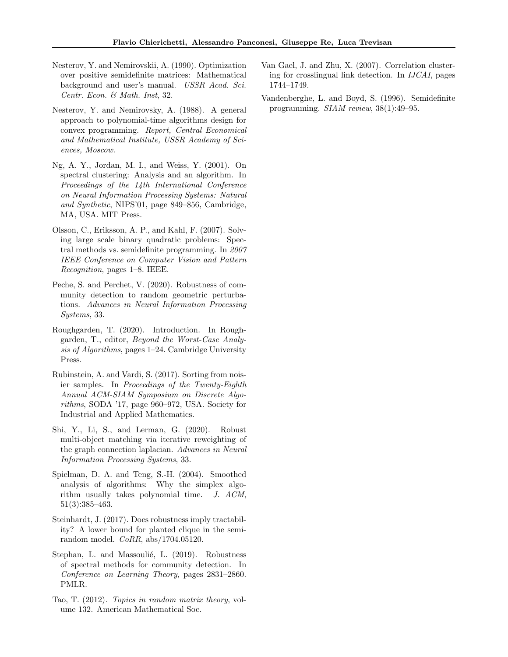- <span id="page-10-13"></span>Nesterov, Y. and Nemirovskii, A. (1990). Optimization over positive semidefinite matrices: Mathematical background and user's manual. USSR Acad. Sci. Centr. Econ. & Math. Inst, 32.
- <span id="page-10-12"></span>Nesterov, Y. and Nemirovsky, A. (1988). A general approach to polynomial-time algorithms design for convex programming. Report, Central Economical and Mathematical Institute, USSR Academy of Sciences, Moscow.
- <span id="page-10-6"></span>Ng, A. Y., Jordan, M. I., and Weiss, Y. (2001). On spectral clustering: Analysis and an algorithm. In Proceedings of the 14th International Conference on Neural Information Processing Systems: Natural and Synthetic, NIPS'01, page 849–856, Cambridge, MA, USA. MIT Press.
- <span id="page-10-7"></span>Olsson, C., Eriksson, A. P., and Kahl, F. (2007). Solving large scale binary quadratic problems: Spectral methods vs. semidefinite programming. In 2007 IEEE Conference on Computer Vision and Pattern Recognition, pages 1–8. IEEE.
- <span id="page-10-9"></span>Peche, S. and Perchet, V. (2020). Robustness of community detection to random geometric perturbations. Advances in Neural Information Processing Systems, 33.
- <span id="page-10-1"></span>Roughgarden, T. (2020). Introduction. In Roughgarden, T., editor, Beyond the Worst-Case Analysis of Algorithms, pages 1–24. Cambridge University Press.
- <span id="page-10-4"></span>Rubinstein, A. and Vardi, S. (2017). Sorting from noisier samples. In Proceedings of the Twenty-Eighth Annual ACM-SIAM Symposium on Discrete Algorithms, SODA '17, page 960–972, USA. Society for Industrial and Applied Mathematics.
- <span id="page-10-3"></span>Shi, Y., Li, S., and Lerman, G. (2020). Robust multi-object matching via iterative reweighting of the graph connection laplacian. Advances in Neural Information Processing Systems, 33.
- <span id="page-10-0"></span>Spielman, D. A. and Teng, S.-H. (2004). Smoothed analysis of algorithms: Why the simplex algorithm usually takes polynomial time. J. ACM, 51(3):385–463.
- <span id="page-10-2"></span>Steinhardt, J. (2017). Does robustness imply tractability? A lower bound for planted clique in the semirandom model. CoRR, abs/1704.05120.
- <span id="page-10-8"></span>Stephan, L. and Massoulié, L. (2019). Robustness of spectral methods for community detection. In Conference on Learning Theory, pages 2831–2860. PMLR.
- <span id="page-10-10"></span>Tao, T. (2012). Topics in random matrix theory, volume 132. American Mathematical Soc.
- <span id="page-10-5"></span>Van Gael, J. and Zhu, X. (2007). Correlation clustering for crosslingual link detection. In IJCAI, pages 1744–1749.
- <span id="page-10-11"></span>Vandenberghe, L. and Boyd, S. (1996). Semidefinite programming. SIAM review, 38(1):49–95.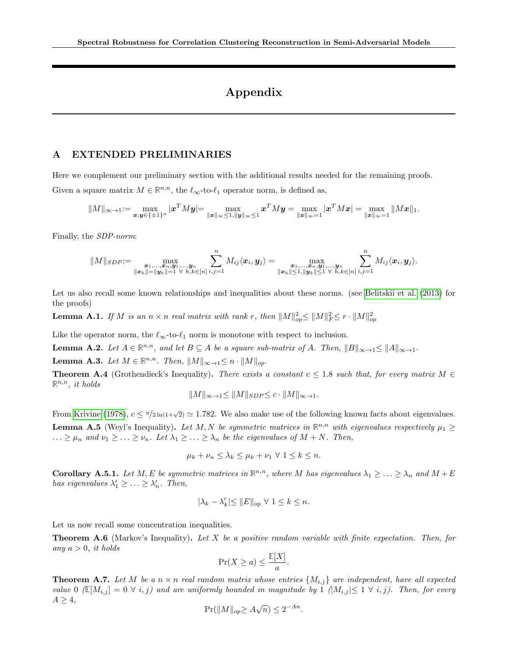# Appendix

## A EXTENDED PRELIMINARIES

Here we complement our preliminary section with the additional results needed for the remaining proofs. Given a square matrix  $M \in \mathbb{R}^{n,n}$ , the  $\ell_{\infty}$ -to- $\ell_1$  operator norm, is defined as,

$$
||M||_{\infty \to 1} := \max_{\pmb{x}, \pmb{y} \in \{\pm 1\}^n} |\pmb{x}^T M \pmb{y}| = \max_{\|\pmb{x}\|_{\infty} \le 1, \|\pmb{y}\|_{\infty} \le 1} \pmb{x}^T M \pmb{y} = \max_{\|\pmb{x}\|_{\infty} = 1} |\pmb{x}^T M \pmb{x}| = \max_{\|\pmb{x}\|_{\infty} = 1} ||M \pmb{x}||_1.
$$

Finally, the SDP-norm:

$$
||M||_{SDP} := \max_{\substack{\boldsymbol{x}_1,\ldots,\boldsymbol{x}_n,\boldsymbol{y}_1,\ldots,\boldsymbol{y}_n \\ \|\boldsymbol{x}_h\| = ||\boldsymbol{y}_k|| = 1 \ \forall \ h,k \in [n]}} \sum_{i,j=1}^n M_{ij} \langle \boldsymbol{x}_i, \boldsymbol{y}_j \rangle = \max_{\substack{\boldsymbol{x}_1,\ldots,\boldsymbol{x}_n,\boldsymbol{y}_1,\ldots,\boldsymbol{y}_n \\ \|\boldsymbol{x}_h\| \leq 1, ||\boldsymbol{y}_k|| \leq 1 \ \forall \ h,k \in [n]}} \sum_{i,j=1}^n M_{ij} \langle \boldsymbol{x}_i, \boldsymbol{y}_j \rangle.
$$

Let us also recall some known relationships and inequalities about these norms. (see [Belitskii et al.](#page-9-23) [\(2013\)](#page-9-23) for the proofs)

<span id="page-11-0"></span>**Lemma A.1.** If M is an  $n \times n$  real matrix with rank r, then  $||M||_{op}^2 \le ||M||_F^2 \le r \cdot ||M||_{op}^2$ 

Like the operator norm, the  $\ell_{\infty}$ -to- $\ell_1$  norm is monotone with respect to inclusion.

<span id="page-11-6"></span>**Lemma A.2.** Let  $A \in \mathbb{R}^{n,n}$ , and let  $B \subseteq A$  be a square sub-matrix of A. Then,  $||B||_{\infty \to 1} \le ||A||_{\infty \to 1}$ .

<span id="page-11-3"></span>Lemma A.3. Let  $M \in \mathbb{R}^{n,n}$ . Then,  $||M||_{\infty \to 1} \leq n \cdot ||M||_{op}$ .

<span id="page-11-4"></span>**Theorem A.4** (Grothendieck's Inequality). There exists a constant  $c \leq 1.8$  such that, for every matrix  $M \in$  $\mathbb{R}^{n,n}$ , it holds

$$
||M||_{\infty \to 1} \le ||M||_{SDP} \le c \cdot ||M||_{\infty \to 1}.
$$

From [Krivine](#page-9-24) [\(1978\)](#page-9-24),  $c \le \pi/2 \ln(1+\sqrt{2}) \simeq 1.782$ . We also make use of the following known facts about eigenvalues. **Lemma A.5** (Weyl's Inequality). Let M, N be symmetric matrices in  $\mathbb{R}^{n,n}$  with eigenvalues respectively  $\mu_1 \geq$  $\ldots \geq \mu_n$  and  $\nu_1 \geq \ldots \geq \nu_n$ . Let  $\lambda_1 \geq \ldots \geq \lambda_n$  be the eigenvalues of  $M + N$ . Then,

$$
\mu_k + \nu_n \le \lambda_k \le \mu_k + \nu_1 \ \forall \ 1 \le k \le n.
$$

<span id="page-11-2"></span>**Corollary A.5.1.** Let M, E be symmetric matrices in  $\mathbb{R}^{n,n}$ , where M has eigenvalues  $\lambda_1 \geq \ldots \geq \lambda_n$  and  $M + E$ has eigenvalues  $\lambda'_1 \geq \ldots \geq \lambda'_n$ . Then,

$$
|\lambda_k-\lambda'_k|\leq \|E\|_{op}\ \forall\ 1\leq k\leq n.
$$

Let us now recall some concentration inequalities.

<span id="page-11-5"></span>**Theorem A.6** (Markov's Inequality). Let X be a positive random variable with finite expectation. Then, for any  $a > 0$ , it holds

$$
\Pr(X \ge a) \le \frac{\mathbb{E}[X]}{a}.
$$

<span id="page-11-1"></span>**Theorem A.7.** Let M be a  $n \times n$  real random matrix whose entries  $\{M_{i,j}\}$  are independent, have all expected value 0 ( $\mathbb{E}[M_{i,j}] = 0 \ \forall \ i,j$ ) and are uniformly bounded in magnitude by 1 ( $|M_{i,j}| \leq 1 \ \forall \ i,j$ ). Then, for every  $A \geq 4$ , √

$$
\Pr(||M||_{op} \ge A\sqrt{n}) \le 2^{-An}.
$$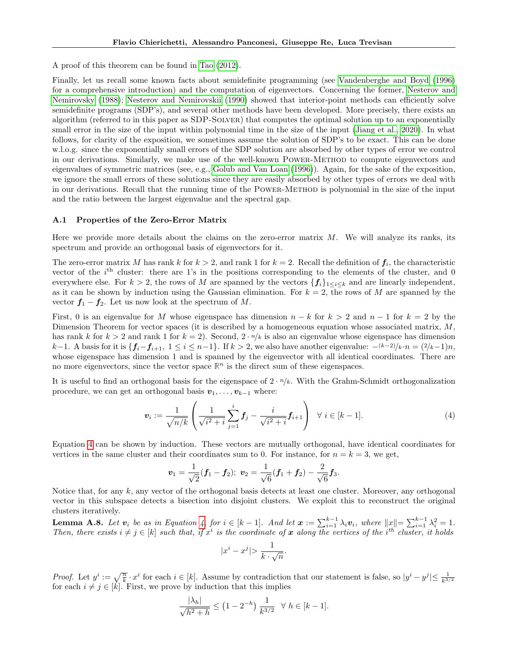A proof of this theorem can be found in [Tao](#page-10-10) [\(2012\)](#page-10-10).

Finally, let us recall some known facts about semidefinite programming (see [Vandenberghe and Boyd](#page-10-11) [\(1996\)](#page-10-11) for a comprehensive introduction) and the computation of eigenvectors. Concerning the former, [Nesterov and](#page-10-12) [Nemirovsky](#page-10-12) [\(1988\)](#page-10-12); [Nesterov and Nemirovskii](#page-10-13) [\(1990\)](#page-10-13) showed that interior-point methods can efficiently solve semidefinite programs (SDP's), and several other methods have been developed. More precisely, there exists an algorithm (referred to in this paper as SDP-Solver) that computes the optimal solution up to an exponentially small error in the size of the input within polynomial time in the size of the input [\(Jiang et al., 2020\)](#page-9-19). In what follows, for clarity of the exposition, we sometimes assume the solution of SDP's to be exact. This can be done w.l.o.g. since the exponentially small errors of the SDP solution are absorbed by other types of error we control in our derivations. Similarly, we make use of the well-known Power-Method to compute eigenvectors and eigenvalues of symmetric matrices (see, e.g., [Golub and Van Loan](#page-9-17) [\(1996\)](#page-9-17)). Again, for the sake of the exposition, we ignore the small errors of these solutions since they are easily absorbed by other types of errors we deal with in our derivations. Recall that the running time of the Power-Method is polynomial in the size of the input and the ratio between the largest eigenvalue and the spectral gap.

### A.1 Properties of the Zero-Error Matrix

Here we provide more details about the claims on the zero-error matrix  $M$ . We will analyze its ranks, its spectrum and provide an orthogonal basis of eigenvectors for it.

The zero-error matrix M has rank k for  $k > 2$ , and rank 1 for  $k = 2$ . Recall the definition of  $f_i$ , the characteristic vector of the  $i<sup>th</sup>$  cluster: there are 1's in the positions corresponding to the elements of the cluster, and 0 everywhere else. For  $k > 2$ , the rows of M are spanned by the vectors  $\{f_i\}_{1 \leq i \leq k}$  and are linearly independent, as it can be shown by induction using the Gaussian elimination. For  $k = 2$ , the rows of M are spanned by the vector  $f_1 - f_2$ . Let us now look at the spectrum of M.

First, 0 is an eigenvalue for M whose eigenspace has dimension  $n - k$  for  $k > 2$  and  $n - 1$  for  $k = 2$  by the Dimension Theorem for vector spaces (it is described by a homogeneous equation whose associated matrix,  $M$ , has rank k for  $k > 2$  and rank 1 for  $k = 2$ ). Second,  $2 \cdot \frac{n}{k}$  is also an eigenvalue whose eigenspace has dimension k−1. A basis for it is  $\{f_i-f_{i+1}, 1 \le i \le n-1\}$ . If  $k > 2$ , we also have another eigenvalue:  $-(k-2)/k \cdot n = (2/k-1)n$ , whose eigenspace has dimension 1 and is spanned by the eigenvector with all identical coordinates. There are no more eigenvectors, since the vector space  $\mathbb{R}^n$  is the direct sum of these eigenspaces.

It is useful to find an orthogonal basis for the eigenspace of  $2 \cdot \frac{n}{k}$ . With the Grahm-Schmidt orthogonalization procedure, we can get an orthogonal basis  $v_1, \ldots, v_{k-1}$  where:

<span id="page-12-0"></span>
$$
\boldsymbol{v}_{i} := \frac{1}{\sqrt{n/k}} \left( \frac{1}{\sqrt{i^{2}+i}} \sum_{j=1}^{i} \boldsymbol{f}_{j} - \frac{i}{\sqrt{i^{2}+i}} \boldsymbol{f}_{i+1} \right) \quad \forall \ i \in [k-1]. \tag{4}
$$

Equation [4](#page-12-0) can be shown by induction. These vectors are mutually orthogonal, have identical coordinates for vertices in the same cluster and their coordinates sum to 0. For instance, for  $n = k = 3$ , we get,

$$
\boldsymbol{v}_1=\frac{1}{\sqrt{2}}(\boldsymbol{f}_1-\boldsymbol{f}_2); \ \boldsymbol{v}_2=\frac{1}{\sqrt{6}}(\boldsymbol{f}_1+\boldsymbol{f}_2)-\frac{2}{\sqrt{6}}\boldsymbol{f}_3.
$$

Notice that, for any k, any vector of the orthogonal basis detects at least one cluster. Moreover, any orthogonal vector in this subspace detects a bisection into disjoint clusters. We exploit this to reconstruct the original clusters iteratively.

<span id="page-12-1"></span>**Lemma A.8.** Let  $v_i$  be as in Equation [4,](#page-12-0) for  $i \in [k-1]$ . And let  $x := \sum_{i=1}^{k-1} \lambda_i v_i$ , where  $||x|| = \sum_{i=1}^{k-1} \lambda_i^2 = 1$ . Then, there exists  $i \neq j \in [k]$  such that, if  $x^i$  is the coordinate of x along the vertices of the i<sup>th</sup> cluster, it holds

$$
|x^i - x^j| > \frac{1}{k \cdot \sqrt{n}}.
$$

*Proof.* Let  $y^i := \sqrt{\frac{n}{k}} \cdot x^i$  for each  $i \in [k]$ . Assume by contradiction that our statement is false, so  $|y^i - y^j| \le \frac{1}{k^{3/2}}$  for each  $i \neq j \in [k]$ . First, we prove by induction that this implies

$$
\frac{|\lambda_h|}{\sqrt{h^2 + h}} \le (1 - 2^{-h}) \frac{1}{k^{3/2}} \quad \forall \ h \in [k - 1].
$$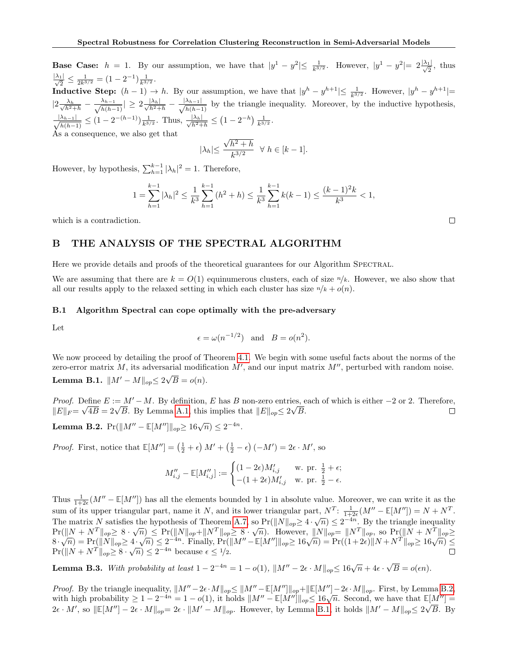**Base Case:**  $h = 1$ . By our assumption, we have that  $|y^1 - y^2| \le \frac{1}{k^{3/2}}$ . However,  $|y^1 - y^2| = 2\frac{|\lambda_1|}{\sqrt{2}}$ , thus  $\frac{|\lambda_1|}{\sqrt{2}} \leq \frac{1}{2k^{3/2}} = (1 - 2^{-1}) \frac{1}{k^{3/2}}.$ **Inductive Step:**  $(h-1) \to h$ . By our assumption, we have that  $|y^h - y^{h+1}| \leq \frac{1}{k^{3/2}}$ . However,  $|y^h - y^{h+1}| =$  $|2 \frac{\lambda_h}{\sqrt{2}}|$  $\frac{\lambda_h}{h^2+h} - \frac{\lambda_{h-1}}{\sqrt{h(h-h)}}$  $\frac{\lambda_{h-1}}{h(h-1)} \vert \geq 2 \frac{\vert \lambda_h \vert}{\sqrt{h^2+h}} - \frac{\vert \lambda_{h-1} \vert}{\sqrt{h(h-1)}}$  $\frac{\lambda_{h-1}}{h(h-1)}$  by the triangle inequality. Moreover, by the inductive hypothesis,  $\frac{|\lambda_{h-1}|}{\sqrt{2\pi}}$  $\frac{\lambda_{h-1}}{h(h-1)} \leq (1-2^{-(h-1)})\frac{1}{k^{3/2}}$ . Thus,  $\frac{|\lambda_h|}{\sqrt{h^2+h}} \leq (1-2^{-h})\frac{1}{k^{3/2}}$ . As a consequence, we also get that

$$
|\lambda_h| \le \frac{\sqrt{h^2 + h}}{k^{3/2}} \quad \forall \ h \in [k-1].
$$

However, by hypothesis,  $\sum_{h=1}^{k-1} |\lambda_h|^2 = 1$ . Therefore,

$$
1 = \sum_{h=1}^{k-1} |\lambda_h|^2 \le \frac{1}{k^3} \sum_{h=1}^{k-1} (h^2 + h) \le \frac{1}{k^3} \sum_{h=1}^{k-1} k(k-1) \le \frac{(k-1)^2 k}{k^3} < 1,
$$

which is a contradiction.

### B THE ANALYSIS OF THE SPECTRAL ALGORITHM

Here we provide details and proofs of the theoretical guarantees for our Algorithm SPECTRAL.

We are assuming that there are  $k = O(1)$  equinumerous clusters, each of size  $n/k$ . However, we also show that all our results apply to the relaxed setting in which each cluster has size  $n/k + o(n)$ .

### B.1 Algorithm Spectral can cope optimally with the pre-adversary

Let

$$
\epsilon = \omega(n^{-1/2})
$$
 and  $B = o(n^2)$ .

<span id="page-13-1"></span>We now proceed by detailing the proof of Theorem [4.1.](#page-6-0) We begin with some useful facts about the norms of the zero-error matrix M, its adversarial modification  $M'$ , and our input matrix  $M''$ , perturbed with random noise. Lemma B.1.  $||M' - M||_{op} \leq 2\sqrt{2}$  $B = o(n).$ 

*Proof.* Define  $E := M' - M$ . By definition, E has B non-zero entries, each of which is either  $-2$  or 2. Therefore, *Proof.* Denne  $E := M^T - M$ . By definition, E has B non-zero entries,  $\epsilon$   $||E||_F = \sqrt{4B} = 2\sqrt{B}$ . By Lemma [A.1,](#page-11-0) this implies that  $||E||_{op} \leq 2\sqrt{B}$ . □

<span id="page-13-0"></span>**Lemma B.2.**  $Pr(||M'' - \mathbb{E}[M'']||_{op} \ge 16\sqrt{n}) \le 2^{-4n}$ .

*Proof.* First, notice that  $\mathbb{E}[M''] = \left(\frac{1}{2} + \epsilon\right)M' + \left(\frac{1}{2} - \epsilon\right)(-M') = 2\epsilon \cdot M'$ , so

$$
M''_{i,j} - \mathbb{E}[M''_{i,j}] := \begin{cases} (1-2\epsilon)M'_{i,j} & \text{w. pr. } \frac{1}{2} + \epsilon; \\ -(1+2\epsilon)M'_{i,j} & \text{w. pr. } \frac{1}{2} - \epsilon. \end{cases}
$$

Thus  $\frac{1}{1+2\epsilon}(M'' - \mathbb{E}[M''])$  has all the elements bounded by 1 in absolute value. Moreover, we can write it as the 1+2 $\varepsilon$ <sup>{M}</sup>  $\mathbb{L}[M^2]$ } has an the elements bounded by 1 in absolute value. Moreover, we can write it as the<br>sum of its upper triangular part, name it N, and its lower triangular part,  $N^T$ :  $\frac{1}{1+2\varepsilon}(M'' - \mathbb{E}[M'$ The matrix N satisfies the hypothesis of Theorem [A.7,](#page-11-1) so  $Pr(\|N\|_{op}\geq 4\cdot\sqrt{n})\leq 2^{-4n}$ . By the triangle inequality The matrix *I*V satisfies the hypothesis of Theorem A.1, so  $\Gamma_1(\|N\|_{op} \leq 4 \cdot \sqrt{n}) \leq N$ . By the triangle mequantly  $\Pr(\|N + N^T\|_{op} \geq 8 \cdot \sqrt{n}) \leq \Pr(\|N\|_{op} + \|N^T\|_{op} \geq 8 \cdot \sqrt{n})$ . However,  $\|N\|_{op} = \|N^T\|_{op}$ , so  $\Pr(\|N +$  $\mathbb{P} \{ \mathbb{P} \{ \| N \| \infty \} \leq \frac{1}{2} \cdot \sqrt{n} \} \leq \frac{1}{2} \cdot \frac{1}{4} \cdot \frac{1}{4} \cdot \frac{1}{4} \cdot \frac{1}{4} \cdot \frac{1}{4} \cdot \frac{1}{4} \cdot \frac{1}{4} \cdot \frac{1}{4} \cdot \frac{1}{4} \cdot \frac{1}{4} \cdot \frac{1}{4} \cdot \frac{1}{4} \cdot \frac{1}{4} \cdot \frac{1}{4} \cdot \frac{1}{4} \cdot \frac{1}{4} \cdot \frac{1}{4} \cdot \frac{1}{4} \cdot \frac{$  $\Pr(\|N + N^T\|_{op} \ge 8 \cdot \sqrt{n}) \le 2^{-4n}$  because  $\epsilon \le 1/2$ .

<span id="page-13-2"></span>**Lemma B.3.** With probability at least  $1 - 2^{-4n} = 1 - o(1)$ ,  $||M'' - 2\epsilon \cdot M||_{op} \le 16\sqrt{n} + 4\epsilon \cdot$ √  $B = o(\epsilon n).$ 

Proof. By the triangle inequality,  $\|M'' - 2\epsilon \cdot M\|_{op} \le \|M'' - \mathbb{E}[M'']\|_{op} + \|\mathbb{E}[M''] - 2\epsilon \cdot M\|_{op}$ . First, by Lemma [B.2,](#page-13-0) *Froof.* By the triangle mequantly,  $||M||-2\epsilon \cdot M||_{op} \le ||M||-||_{op}||_{op}$  =  $||M||_{op}$  =  $\epsilon \cdot M||_{op}$ . First, by Lemma B.2, with high probability  $\geq 1-2^{-4n} = 1-o(1)$ , it holds  $||M|| - \mathbb{E}[M'||_{op} \leq 16\sqrt{n}$ . Second, we have that  $\$  $2\epsilon \cdot M'$ , so  $\|\mathbb{E}[M''] - 2\epsilon \cdot M\|_{op} = 2\epsilon \cdot \|M' - M\|_{op}$ . However, by Lemma [B.1,](#page-13-1) it holds  $\|M' - M\|_{op} \leq 2\sqrt{B}$ . By

 $\Box$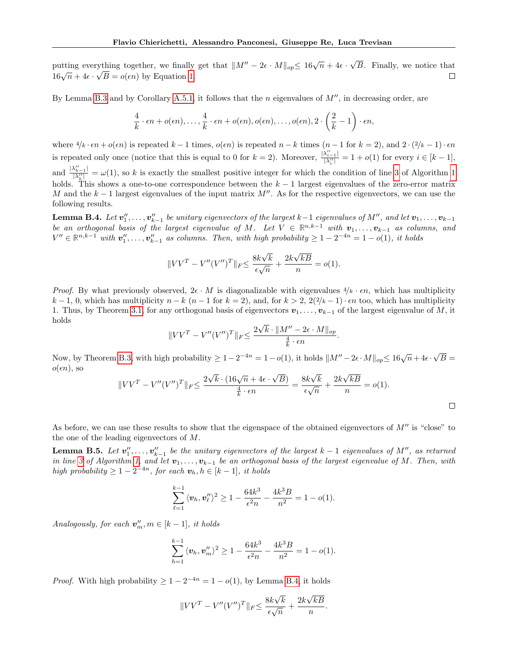√ putting everything together, we finally get that  $||M'' - 2\epsilon \cdot M||_{op} \leq 16\sqrt{n} + 4\epsilon$ . ything together, we finally get that  $||M'' - 2\epsilon \cdot M||_{op} \le 16\sqrt{n} + 4\epsilon \cdot \sqrt{B}$ . Finally, we notice that patting everything together, we mainly<br> $16\sqrt{n} + 4\epsilon \cdot \sqrt{B} = o(\epsilon n)$  by Equation [1.](#page-6-1)  $\Box$ 

By Lemma [B.3](#page-13-2) and by Corollary [A.5.1,](#page-11-2) it follows that the n eigenvalues of  $M''$ , in decreasing order, are

$$
\frac{4}{k} \cdot \epsilon n + o(\epsilon n), \ldots, \frac{4}{k} \cdot \epsilon n + o(\epsilon n), o(\epsilon n), \ldots, o(\epsilon n), 2 \cdot \left(\frac{2}{k} - 1\right) \cdot \epsilon n,
$$

where  $\frac{4}{k} \cdot \epsilon n + o(\epsilon n)$  is repeated  $k-1$  times,  $o(\epsilon n)$  is repeated  $n-k$  times  $(n-1$  for  $k=2)$ , and  $2 \cdot \frac{2}{k-1} \cdot \epsilon n$ is repeated only once (notice that this is equal to 0 for  $k = 2$ ). Moreover,  $\frac{|\lambda_{i-1}^{\prime\prime}|}{|\lambda_{i}^{\prime\prime}|}$  $\frac{\lambda_{i-1}!}{|\lambda''_i|} = 1 + o(1)$  for every  $i \in [k-1]$ , and  $\frac{|\lambda''_{k-1}|}{|\lambda''|}$  $\frac{\lambda_{k-1}}{|\lambda_k''|} = \omega(1)$ , so k is exactly the smallest positive integer for which the condition of line [3](#page-6-2) of Algorithm [1](#page-6-3) holds. This shows a one-to-one correspondence between the  $k-1$  largest eigenvalues of the zero-error matrix M and the  $k-1$  largest eigenvalues of the input matrix  $M''$ . As for the respective eigenvectors, we can use the following results.

<span id="page-14-0"></span>**Lemma B.4.** Let  $\mathbf{v}''_1,\ldots,\mathbf{v}''_{k-1}$  be unitary eigenvectors of the largest  $k-1$  eigenvalues of  $M''$ , and let  $\mathbf{v}_1,\ldots,\mathbf{v}_{k-1}$ be an orthogonal basis of the largest eigenvalue of M. Let  $V \in \mathbb{R}^{n,k-1}$  with  $v_1, \ldots, v_{k-1}$  as columns, and  $V'' \in \mathbb{R}^{n,k-1}$  with  $\mathbf{v}''_1, \ldots, \mathbf{v}''_{k-1}$  as columns. Then, with high probability  $\geq 1 - 2^{-4n} = 1 - o(1)$ , it holds

$$
||VV^T - V''(V'')^T||_F \le \frac{8k\sqrt{k}}{\epsilon\sqrt{n}} + \frac{2k\sqrt{kB}}{n} = o(1).
$$

*Proof.* By what previously observed,  $2\epsilon \cdot M$  is diagonalizable with eigenvalues  $4/k \cdot \epsilon n$ , which has multiplicity  $k-1, 0$ , which has multiplicity  $n-k$   $(n-1$  for  $k=2)$ , and, for  $k > 2$ ,  $2\left(\frac{2}{k-1}\right) \cdot \epsilon n$  too, which has multiplicity 1. Thus, by Theorem [3.1,](#page-5-1) for any orthogonal basis of eigenvectors  $v_1, \ldots, v_{k-1}$  of the largest eigenvalue of M, it holds √

$$
||VV^T - V''(V'')^T||_F \le \frac{2\sqrt{k} \cdot ||M'' - 2\epsilon \cdot M||_{op}}{\frac{4}{k} \cdot \epsilon n}.
$$

Now, by Theorem [B.3,](#page-13-2) with high probability  $\geq 1-2^{-4n} = 1-o(1)$ , it holds  $||M''-2\epsilon \cdot M||_{op} \leq 16\sqrt{n} + 4\epsilon \cdot$ √  $B =$  $o(\epsilon n)$ , so √ √ √ √

$$
||VV^{T} - V''(V'')^{T}||_{F} \le \frac{2\sqrt{k} \cdot (16\sqrt{n} + 4\epsilon \cdot \sqrt{B})}{\frac{4}{k} \cdot \epsilon n} = \frac{8k\sqrt{k}}{\epsilon \sqrt{n}} + \frac{2k\sqrt{kB}}{n} = o(1).
$$

As before, we can use these results to show that the eigenspace of the obtained eigenvectors of  $M''$  is "close" to the one of the leading eigenvectors of M.

<span id="page-14-1"></span>**Lemma B.5.** Let  $v''_1, \ldots, v''_{k-1}$  be the unitary eigenvectors of the largest  $k-1$  eigenvalues of  $M''$ , as returned in line [3](#page-6-2) of Algorithm [1,](#page-6-3) and let  $v_1, \ldots, v_{k-1}$  be an orthogonal basis of the largest eigenvalue of M. Then, with high probability  $\geq 1-2^{-4n}$ , for each  $\mathbf{v}_h, h \in [k-1]$ , it holds

$$
\sum_{\ell=1}^{k-1} \langle v_h, v_l'' \rangle^2 \ge 1 - \frac{64k^3}{\epsilon^2 n} - \frac{4k^3 B}{n^2} = 1 - o(1).
$$

Analogously, for each  $\mathbf{v}'_m$ ,  $m \in [k-1]$ , it holds

$$
\sum_{h=1}^{k-1} \langle v_h, v_m'' \rangle^2 \ge 1 - \frac{64k^3}{\epsilon^2 n} - \frac{4k^3 B}{n^2} = 1 - o(1).
$$

*Proof.* With high probability  $\geq 1 - 2^{-4n} = 1 - o(1)$ , by Lemma [B.4,](#page-14-0) it holds

$$
||VV^{T} - V''(V'')^{T}||_{F} \le \frac{8k\sqrt{k}}{\epsilon\sqrt{n}} + \frac{2k\sqrt{kB}}{n}.
$$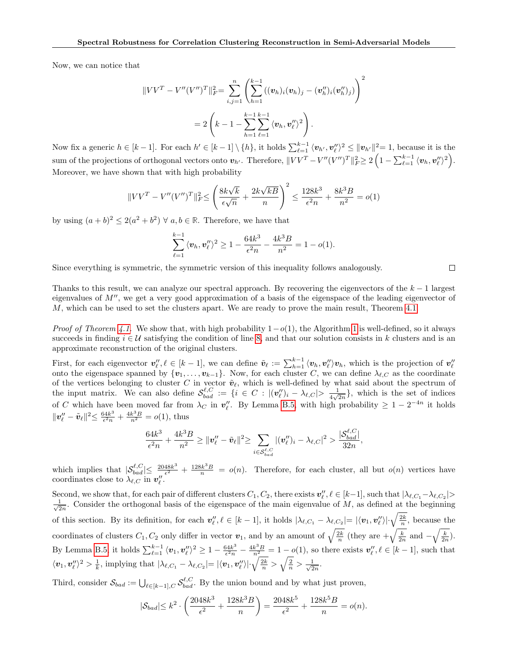Now, we can notice that

$$
||VV^{T} - V''(V'')^{T}||_{F}^{2} = \sum_{i,j=1}^{n} \left( \sum_{h=1}^{k-1} ((\boldsymbol{v}_{h})_{i}(\boldsymbol{v}_{h})_{j} - (\boldsymbol{v}_{h}'')_{i}(\boldsymbol{v}_{h}'')_{j}) \right)^{2}
$$
  
= 
$$
2\left(k - 1 - \sum_{h=1}^{k-1} \sum_{\ell=1}^{k-1} \langle \boldsymbol{v}_{h}, \boldsymbol{v}_{\ell}'' \rangle^{2}\right).
$$

Now fix a generic  $h \in [k-1]$ . For each  $h' \in [k-1] \setminus \{h\}$ , it holds  $\sum_{\ell=1}^{k-1} \langle v_{h'}, v''_{\ell} \rangle^2 \le ||v_{h'}||^2 = 1$ , because it is the sum of the projections of orthogonal vectors onto  $v_{h'}$ . Therefore,  $||VV^T - V''(V'')^T||_F^2 \geq 2\left(1 - \sum_{\ell=1}^{k-1} \langle v_h, v''_{\ell} \rangle^2\right)$ . Moreover, we have shown that with high probability

$$
||VV^{T} - V''(V'')^{T}||_{F}^{2} \le \left(\frac{8k\sqrt{k}}{\epsilon\sqrt{n}} + \frac{2k\sqrt{kB}}{n}\right)^{2} \le \frac{128k^{3}}{\epsilon^{2}n} + \frac{8k^{3}B}{n^{2}} = o(1)
$$

by using  $(a+b)^2 \leq 2(a^2+b^2)$   $\forall a, b \in \mathbb{R}$ . Therefore, we have that

$$
\sum_{\ell=1}^{k-1} \langle v_h, v''_\ell \rangle^2 \ge 1 - \frac{64k^3}{\epsilon^2 n} - \frac{4k^3 B}{n^2} = 1 - o(1).
$$

Since everything is symmetric, the symmetric version of this inequality follows analogously.

 $\Box$ 

Thanks to this result, we can analyze our spectral approach. By recovering the eigenvectors of the  $k - 1$  largest eigenvalues of  $M''$ , we get a very good approximation of a basis of the eigenspace of the leading eigenvector of  $M$ , which can be used to set the clusters apart. We are ready to prove the main result, Theorem [4.1.](#page-6-0)

*Proof of Theorem [4.1.](#page-6-0)* We show that, with high probability  $1-o(1)$ , the Algorithm [1](#page-6-3) is well-defined, so it always succeeds in finding  $i \in \mathcal{U}$  satisfying the condition of line [8,](#page-6-4) and that our solution consists in k clusters and is an approximate reconstruction of the original clusters.

First, for each eigenvector  $\mathbf{v}_{\ell}^{"}, \ell \in [k-1]$ , we can define  $\tilde{\mathbf{v}}_{\ell} := \sum_{h=1}^{k-1} \langle \mathbf{v}_h, \mathbf{v}_{\ell}^{"} \rangle \mathbf{v}_h$ , which is the projection of  $\mathbf{v}_{\ell}^{"}$ onto the eigenspace spanned by  $\{v_1, \ldots, v_{k-1}\}$ . Now, for each cluster C, we can define  $\lambda_{\ell,C}$  as the coordinate of the vertices belonging to cluster C in vector  $\tilde{\boldsymbol{v}}_{\ell}$ , which is well-defined by what said about the spectrum of the input matrix. We can also define  $\mathcal{S}_{bad}^{\ell,C} := \{i \in C : |(\mathbf{v}_{\ell}^{"})_i - \lambda_{\ell,C}| > \frac{1}{4\sqrt{2}}\}$  $\frac{1}{4\sqrt{2n}}$ , which is the set of indices of C which have been moved far from  $\lambda_C$  in  $v''_l$ . By Lemma [B.5,](#page-14-1) with high probability  $\geq 1-2^{-4n}$  it holds  $\|\bm{v}''_\ell - \tilde{\bm{v}}_\ell\|^2$  $\leq \frac{64k^3}{\epsilon^2 n}$  $\frac{34k^3}{\epsilon^2 n} + \frac{4k^3 B}{n^2} = o(1)$ , thus

$$
\frac{64k^3}{\epsilon^2 n}+\frac{4k^3B}{n^2}\geq \|\bm{v}''_\ell-\tilde{\bm{v}}_\ell\|^2{\geq \sum_{i\in \mathcal{S}^{\ell,C}_{bad}}|(\bm{v}''_\ell)_i-\lambda_{\ell,C}|^2>\frac{|\mathcal{S}^{\ell,C}_{bad}|}{32n}},
$$

which implies that  $|\mathcal{S}_{bad}^{\ell,C}| \leq \frac{2048k^3}{\epsilon^2}$  $\frac{48k^3}{\epsilon^2} + \frac{128k^3B}{n} = o(n)$ . Therefore, for each cluster, all but  $o(n)$  vertices have coordinates close to  $\lambda_{\ell,C}$  in  $v''_{\ell}$ .

Second, we show that, for each pair of different clusters  $C_1, C_2$ , there exists  $v''_\ell, \ell \in [k-1]$ , such that  $|\lambda_{\ell,C_1} - \lambda_{\ell,C_2}| >$  $\frac{1}{6}$  $\frac{1}{2n}$ . Consider the orthogonal basis of the eigenspace of the main eigenvalue of M, as defined at the beginning of this section. By its definition, for each  $v''_l, \ell \in [k-1]$ , it holds  $|\lambda_{\ell,C_1} - \lambda_{\ell,C_2}| = |\langle v_1, v''_\ell \rangle| \cdot \sqrt{\frac{2k}{n}}$ , because the coordinates of clusters  $C_1, C_2$  only differ in vector  $v_1$ , and by an amount of  $\sqrt{\frac{2k}{n}}$  (they are  $+\sqrt{\frac{k}{2n}}$  and  $-\sqrt{\frac{k}{2n}}$ ). By Lemma [B.5,](#page-14-1) it holds  $\sum_{\ell=1}^{k-1} \langle v_1, v''_\ell \rangle^2 \geq 1 - \frac{64k^3}{\epsilon^2 n}$  $\frac{34k^3}{\epsilon^2 n} - \frac{4k^3 B}{n^2} = 1 - o(1)$ , so there exists  $v''_\ell, \ell \in [k-1]$ , such that  $\langle v_1, v''_i \rangle^2 > \frac{1}{k}$ , implying that  $|\lambda_{\ell, C_1} - \lambda_{\ell, C_2}| = |\langle v_1, v''_i \rangle| \cdot \sqrt{\frac{2k}{n}} > \sqrt{\frac{2}{n}} > \frac{1}{\sqrt{2}}$  $\frac{1}{2n}$ .

Third, consider  $\mathcal{S}_{bad} := \bigcup_{\ell \in [k-1], C} \mathcal{S}^{\ell, C}_{bad}$ . By the union bound and by what just proven,

$$
|\mathcal{S}_{bad}| \le k^2 \cdot \left(\frac{2048k^3}{\epsilon^2} + \frac{128k^3B}{n}\right) = \frac{2048k^5}{\epsilon^2} + \frac{128k^5B}{n} = o(n).
$$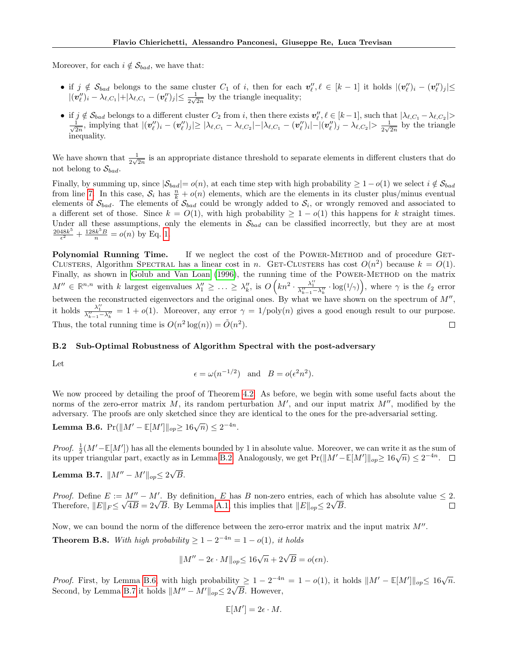Moreover, for each  $i \notin S_{bad}$ , we have that:

- if  $j \notin S_{bad}$  belongs to the same cluster  $C_1$  of i, then for each  $v''_l, \ell \in [k-1]$  it holds  $|(\boldsymbol{v}''_l)_i (\boldsymbol{v}''_\ell)_j| \le$  $|(\boldsymbol{v}''_\ell)_i - \lambda_{\ell,C_1}| + |\lambda_{\ell,C_1} - (\boldsymbol{v}''_\ell)_j| \le \frac{1}{2\sqrt{2n}}$  by the triangle inequality;
- if  $j \notin \mathcal{S}_{bad}$  belongs to a different cluster  $C_2$  from i, then there exists  $\mathbf{v}''_l, l \in [k-1]$ , such that  $|\lambda_{l,C_1} \lambda_{l,C_2}| >$  $\frac{1}{\sqrt{2}}$  $\frac{1}{2n}, \text{ implying that } |(\bm{v}''_\ell)_i - (\bm{v}''_\ell)_j| \ge |\lambda_{\ell,C_1} - \lambda_{\ell,C_2}| - |\lambda_{\ell,C_1} - (\bm{v}''_\ell)_i| - |(\bm{v}''_\ell)_j - \lambda_{\ell,C_2}| > \frac{1}{2\sqrt{2}}$  $\frac{1}{2\sqrt{2n}}$  by the triangle inequality.

We have shown that  $\frac{1}{2\sqrt{2n}}$  is an appropriate distance threshold to separate elements in different clusters that do not belong to  $\mathcal{S}_{bad}$ .

Finally, by summing up, since  $|\mathcal{S}_{bad}|=o(n)$ , at each time step with high probability  $\geq 1-o(1)$  we select  $i \notin \mathcal{S}_{bad}$ from line [7.](#page-6-5) In this case,  $S_i$  has  $\frac{n}{k} + o(n)$  elements, which are the elements in its cluster plus/minus eventual elements of  $\mathcal{S}_{bad}$ . The elements of  $\mathcal{S}_{bad}$  could be wrongly added to  $\mathcal{S}_i$ , or wrongly removed and associated to a different set of those. Since  $k = O(1)$ , with high probability  $\geq 1 - o(1)$  this happens for k straight times. Under all these assumptions, only the elements in  $S_{bad}$  can be classified incorrectly, but they are at most  $2048k^5$  $\frac{48k^5}{\epsilon^2} + \frac{128k^5B}{n} = o(n)$  by Eq. [1.](#page-6-1)

Polynomial Running Time. If we neglect the cost of the POWER-METHOD and of procedure GET-CLUSTERS, Algorithm SPECTRAL has a linear cost in n. GET-CLUSTERS has cost  $O(n^2)$  because  $k = O(1)$ . Finally, as shown in [Golub and Van Loan](#page-9-17) [\(1996\)](#page-9-17), the running time of the POWER-METHOD on the matrix  $M'' \in \mathbb{R}^{n,n}$  with k largest eigenvalues  $\lambda_1'' \geq \ldots \geq \lambda_k''$ , is  $O\left(kn^2 \cdot \frac{\lambda_1''}{\lambda_{k-1}'' - \lambda_k''} \cdot \log(1/\gamma)\right)$ , where  $\gamma$  is the  $\ell_2$  error between the reconstructed eigenvectors and the original ones. By what we have shown on the spectrum of  $M''$ , it holds  $\frac{\lambda_1^{\prime\prime}}{\lambda_{k-1}^{\prime\prime}-\lambda_k^{\prime\prime}}=1+o(1)$ . Moreover, any error  $\gamma=1/\text{poly}(n)$  gives a good enough result to our purpose. Thus, the total running time is  $O(n^2 \log(n)) = \tilde{O}(n^2)$ .  $\Box$ 

### B.2 Sub-Optimal Robustness of Algorithm Spectral with the post-adversary

Let

$$
\epsilon = \omega(n^{-1/2})
$$
 and  $B = o(\epsilon^2 n^2)$ .

We now proceed by detailing the proof of Theorem [4.2.](#page-6-6) As before, we begin with some useful facts about the norms of the zero-error matrix M, its random perturbation  $M'$ , and our input matrix  $M''$ , modified by the adversary. The proofs are only sketched since they are identical to the ones for the pre-adversarial setting.

<span id="page-16-0"></span>**Lemma B.6.**  $Pr(||M' - \mathbb{E}[M']||_{op} \ge 16\sqrt{n}) \le 2^{-4n}$ .

*Proof.*  $\frac{1}{2}(M'-\mathbb{E}[M'])$  has all the elements bounded by 1 in absolute value. Moreover, we can write it as the sum of *Froof.*  $\frac{1}{2}(M - \mathbb{E}[M])$  has an the elements bounded by 1 in absolute value. Moreover, we can write it as the sum is upper triangular part, exactly as in Lemma [B.2.](#page-13-0) Analogously, we get  $Pr(||M' - \mathbb{E}[M']||_{op} \ge 16\sqrt{n}) \le 2$ 

<span id="page-16-1"></span>Lemma B.7.  $\|M'' - M'\|_{op}$ ≤ 2 $\sqrt{ }$ B.

*Proof.* Define  $E := M'' - M'$ . By definition, E has B non-zero entries, each of which has absolute value  $\leq 2$ . *Proof.* Define  $E := M^{\prime\prime} - M^{\prime}$ . By definition, E has B non-zero entries, each of Therefore,  $||E||_F \leq \sqrt{4B} = 2\sqrt{B}$ . By Lemma [A.1,](#page-11-0) this implies that  $||E||_{op} \leq 2\sqrt{B}$ .  $\Box$ 

<span id="page-16-2"></span>Now, we can bound the norm of the difference between the zero-error matrix and the input matrix  $M''$ . **Theorem B.8.** With high probability  $\geq 1 - 2^{-4n} = 1 - o(1)$ , it holds

$$
||M'' - 2\epsilon \cdot M||_{op} \le 16\sqrt{n} + 2\sqrt{B} = o(\epsilon n).
$$

*Proof.* First, by Lemma [B.6,](#page-16-0) with high probability  $\geq 1 - 2^{-4n} = 1 - o(1)$ , it holds  $||M' - \mathbb{E}[M']||_{op} \leq 16\sqrt{n}$ . *Frout.* First, by Lemma B.0, with high probability Second, by Lemma [B.7](#page-16-1) it holds  $||M'' - M'||_{op} \leq 2\sqrt{ }$ B. However,

$$
\mathbb{E}[M'] = 2\epsilon \cdot M.
$$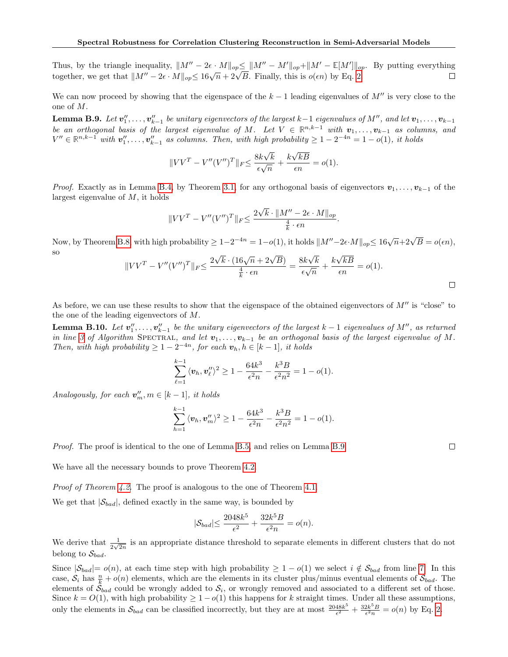Thus, by the triangle inequality,  $||M'' - 2\epsilon \cdot M||_{op} \le ||M'' - M'||_{op} + ||M' - \mathbb{E}[M']||_{op}$ . By putting everything Thus, by the triangle inequality,  $||M - 2\epsilon \cdot M||_{op} \le ||M - M||_{op} + ||M - \epsilon||_{op}$ <br>together, we get that  $||M'' - 2\epsilon \cdot M||_{op} \le 16\sqrt{n} + 2\sqrt{B}$ . Finally, this is  $o(\epsilon n)$  by Eq. [2.](#page-6-7)  $\Box$ 

We can now proceed by showing that the eigenspace of the  $k-1$  leading eigenvalues of  $M''$  is very close to the one of M.

<span id="page-17-0"></span>**Lemma B.9.** Let  $v''_1, \ldots, v''_{k-1}$  be unitary eigenvectors of the largest  $k-1$  eigenvalues of  $M''$ , and let  $v_1, \ldots, v_{k-1}$ be an orthogonal basis of the largest eigenvalue of M. Let  $V \in \mathbb{R}^{n,k-1}$  with  $v_1, \ldots, v_{k-1}$  as columns, and  $V'' \in \mathbb{R}^{n,k-1}$  with  $\mathbf{v}''_1, \ldots, \mathbf{v}''_{k-1}$  as columns. Then, with high probability  $\geq 1 - 2^{-4n} = 1 - o(1)$ , it holds

$$
||VV^{T} - V''(V'')^{T}||_{F} \le \frac{8k\sqrt{k}}{\epsilon\sqrt{n}} + \frac{k\sqrt{kB}}{\epsilon n} = o(1).
$$

*Proof.* Exactly as in Lemma [B.4,](#page-14-0) by Theorem [3.1,](#page-5-1) for any orthogonal basis of eigenvectors  $v_1, \ldots, v_{k-1}$  of the largest eigenvalue of M, it holds

$$
||VV^{T} - V''(V'')^{T}||_{F} \le \frac{2\sqrt{k} \cdot ||M'' - 2\epsilon \cdot M||_{op}}{\frac{4}{k} \cdot \epsilon n}.
$$

Now, by Theorem [B.8,](#page-16-2) with high probability  $\geq 1-2^{-4n} = 1-o(1)$ , it holds  $||M''-2\epsilon \cdot M||_{op} \leq 16\sqrt{n}+2\sqrt{B} = o(\epsilon n)$ , so √ √ √

$$
||VV^{T} - V''(V'')^{T}||_{F} \le \frac{2\sqrt{k} \cdot (16\sqrt{n} + 2\sqrt{B})}{\frac{4}{k} \cdot \epsilon n} = \frac{8k\sqrt{k}}{\epsilon \sqrt{n}} + \frac{k\sqrt{kB}}{\epsilon n} = o(1).
$$

As before, we can use these results to show that the eigenspace of the obtained eigenvectors of  $M''$  is "close" to the one of the leading eigenvectors of M.

**Lemma B.10.** Let  $v''_1, \ldots, v''_{k-1}$  be the unitary eigenvectors of the largest  $k-1$  eigenvalues of  $M''$ , as returned in line [3](#page-6-2) of Algorithm SPECTRAL, and let  $v_1, \ldots, v_{k-1}$  be an orthogonal basis of the largest eigenvalue of M. Then, with high probability  $\geq 1-2^{-4n}$ , for each  $\mathbf{v}_h, h \in [k-1]$ , it holds

$$
\sum_{\ell=1}^{k-1} \langle v_h, v''_k \rangle^2 \ge 1 - \frac{64k^3}{\epsilon^2 n} - \frac{k^3 B}{\epsilon^2 n^2} = 1 - o(1).
$$

Analogously, for each  $\mathbf{v}'_m$ ,  $m \in [k-1]$ , it holds

$$
\sum_{h=1}^{k-1} \langle v_h, v_m'' \rangle^2 \ge 1 - \frac{64k^3}{\epsilon^2 n} - \frac{k^3 B}{\epsilon^2 n^2} = 1 - o(1).
$$

Proof. The proof is identical to the one of Lemma [B.5,](#page-14-1) and relies on Lemma [B.9.](#page-17-0)

We have all the necessary bounds to prove Theorem [4.2.](#page-6-6)

Proof of Theorem [4.2.](#page-6-6) The proof is analogous to the one of Theorem [4.1.](#page-6-0)

We get that  $|\mathcal{S}_{bad}|$ , defined exactly in the same way, is bounded by

$$
|\mathcal{S}_{bad}| \leq \frac{2048k^5}{\epsilon^2} + \frac{32k^5B}{\epsilon^2 n} = o(n).
$$

We derive that  $\frac{1}{2\sqrt{2n}}$  is an appropriate distance threshold to separate elements in different clusters that do not belong to  $\mathcal{S}_{bad}$ .

Since  $|\mathcal{S}_{bad}|=o(n)$ , at each time step with high probability  $\geq 1-o(1)$  we select  $i \notin \mathcal{S}_{bad}$  from line [7.](#page-6-5) In this case,  $S_i$  has  $\frac{n}{k} + o(n)$  elements, which are the elements in its cluster plus/minus eventual elements of  $S_{bad}$ . The elements of  $\mathcal{S}_{bad}$  could be wrongly added to  $\mathcal{S}_i$ , or wrongly removed and associated to a different set of those. Since  $k = O(1)$ , with high probability  $\geq 1 - o(1)$  this happens for k straight times. Under all these assumptions, only the elements in  $S_{bad}$  can be classified incorrectly, but they are at most  $\frac{2048k^5}{\epsilon^2}$  $\frac{48k^5}{\epsilon^2} + \frac{32k^5B}{\epsilon^2 n} = o(n)$  by Eq. [2.](#page-6-7)

 $\Box$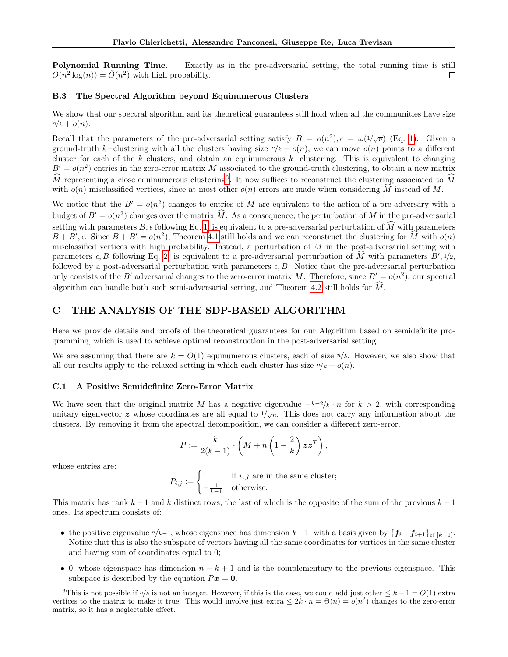Polynomial Running Time. Exactly as in the pre-adversarial setting, the total running time is still  $O(n^2 \log(n)) = \tilde{O}(n^2)$  with high probability. П

### B.3 The Spectral Algorithm beyond Equinumerous Clusters

We show that our spectral algorithm and its theoretical guarantees still hold when all the communities have size  $n/k + o(n)$ .

Recall that the parameters of the pre-adversarial setting satisfy  $B = o(n^2)$ ,  $\epsilon = \omega(1/\sqrt{n})$  (Eq. [1\)](#page-6-1). Given a ground-truth k–clustering with all the clusters having size  $n/k + o(n)$ , we can move  $o(n)$  points to a different cluster for each of the k clusters, and obtain an equinumerous k–clustering. This is equivalent to changing  $B' = o(n^2)$  entries in the zero-error matrix M associated to the ground-truth clustering, to obtain a new matrix  $\widehat{M}$  representing a close equinumerous clustering<sup>[3](#page-18-0)</sup>. It now suffices to reconstruct the clustering associated to  $\widehat{M}$ with  $o(n)$  misclassified vertices, since at most other  $o(n)$  errors are made when considering M instead of M.

We notice that the  $B' = o(n^2)$  changes to entries of M are equivalent to the action of a pre-adversary with a budget of  $B' = o(n^2)$  changes over the matrix  $\widehat{M}$ . As a consequence, the perturbation of M in the pre-adversarial setting with parameters  $B$ ,  $\epsilon$  following Eq. [1,](#page-6-1) is equivalent to a pre-adversarial perturbation of M with parameters  $B + B'$ ,  $\epsilon$ . Since  $B + B' = o(n^2)$ , Theorem [4.1](#page-6-0) still holds and we can reconstruct the clustering for  $\widehat{M}$  with  $o(n)$ misclassified vertices with high probability. Instead, a perturbation of  $M$  in the post-adversarial setting with parameters  $\epsilon, B$  following Eq. [2,](#page-6-7) is equivalent to a pre-adversarial perturbation of  $\widehat{M}$  with parameters  $B', \frac{1}{2}, \frac{1}{2}$ followed by a post-adversarial perturbation with parameters  $\epsilon$ , B. Notice that the pre-adversarial perturbation only consists of the B' adversarial changes to the zero-error matrix M. Therefore, since  $B' = o(n^2)$ , our spectral algorithm can handle both such semi-adversarial setting, and Theorem [4.2](#page-6-6) still holds for  $\widehat{M}$ .

# C THE ANALYSIS OF THE SDP-BASED ALGORITHM

Here we provide details and proofs of the theoretical guarantees for our Algorithm based on semidefinite programming, which is used to achieve optimal reconstruction in the post-adversarial setting.

We are assuming that there are  $k = O(1)$  equinumerous clusters, each of size  $n/k$ . However, we also show that all our results apply to the relaxed setting in which each cluster has size  $n/k + o(n)$ .

### C.1 A Positive Semidefinite Zero-Error Matrix

We have seen that the original matrix M has a negative eigenvalue  $-k-2/k \cdot n$  for  $k > 2$ , with corresponding unitary eigenvector z whose coordinates are all equal to  $1/\sqrt{n}$ . This does not carry any information about the clusters. By removing it from the spectral decomposition, we can consider a different zero-error,

$$
P := \frac{k}{2(k-1)} \cdot \left( M + n \left( 1 - \frac{2}{k} \right) \mathbf{z} \mathbf{z}^T \right),
$$

whose entries are:

 $P_{i,j} := \begin{cases} 1 & \text{if } i,j \text{ are in the same cluster;} \end{cases}$  $-\frac{1}{k-1}$  otherwise.

This matrix has rank  $k-1$  and k distinct rows, the last of which is the opposite of the sum of the previous  $k-1$ ones. Its spectrum consists of:

- the positive eigenvalue  $n/k-1$ , whose eigenspace has dimension  $k-1$ , with a basis given by  $\{f_i f_{i+1}\}_{i \in [k-1]}$ . Notice that this is also the subspace of vectors having all the same coordinates for vertices in the same cluster and having sum of coordinates equal to 0;
- 0, whose eigenspace has dimension  $n k + 1$  and is the complementary to the previous eigenspace. This subspace is described by the equation  $Px = 0$ .

<span id="page-18-0"></span><sup>&</sup>lt;sup>3</sup>This is not possible if  $n/k$  is not an integer. However, if this is the case, we could add just other  $\leq k-1 = O(1)$  extra vertices to the matrix to make it true. This would involve just extra  $\leq 2k \cdot n = \Theta(n) = o(n^2)$  changes to the zero-error matrix, so it has a neglectable effect.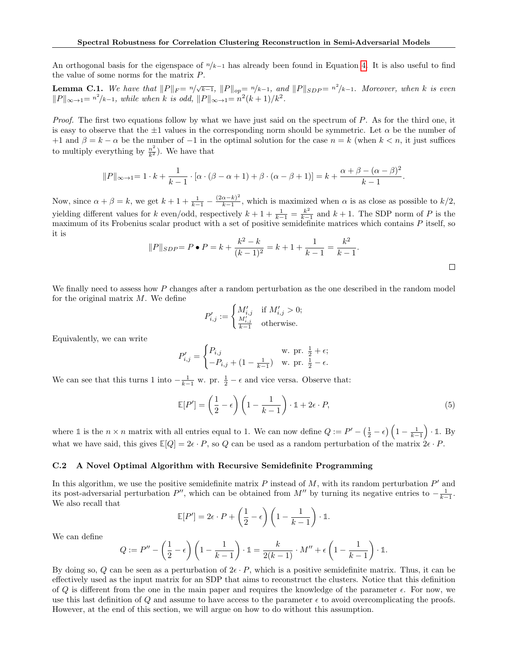An orthogonal basis for the eigenspace of  $n/k-1$  has already been found in Equation [4.](#page-12-0) It is also useful to find the value of some norms for the matrix P.

<span id="page-19-0"></span>**Lemma C.1.** We have that  $||P||_F = \sqrt[n]{\sqrt{k-1}}$ ,  $||P||_{op} = \sqrt[n]{k-1}$ , and  $||P||_{SDP} = \sqrt[n^{2}/k-1}$ . Moreover, when k is even  $||P||_{\infty \to 1} = n^2/k-1$ , while when k is odd,  $||P||_{\infty \to 1} = n^2(k+1)/k^2$ .

Proof. The first two equations follow by what we have just said on the spectrum of P. As for the third one, it is easy to observe that the  $\pm 1$  values in the corresponding norm should be symmetric. Let  $\alpha$  be the number of +1 and  $\beta = k - \alpha$  be the number of -1 in the optimal solution for the case  $n = k$  (when  $k < n$ , it just suffices to multiply everything by  $\frac{n^2}{k^2}$ ). We have that

$$
||P||_{\infty \to 1} = 1 \cdot k + \frac{1}{k-1} \cdot [\alpha \cdot (\beta - \alpha + 1) + \beta \cdot (\alpha - \beta + 1)] = k + \frac{\alpha + \beta - (\alpha - \beta)^2}{k-1}.
$$

Now, since  $\alpha + \beta = k$ , we get  $k + 1 + \frac{1}{k-1} - \frac{(2\alpha - k)^2}{k-1}$  $\frac{\alpha-\kappa}{k-1}$ , which is maximized when  $\alpha$  is as close as possible to  $k/2$ , yielding different values for k even/odd, respectively  $k + 1 + \frac{1}{k-1} = \frac{k^2}{k-1}$  $\frac{k^2}{k-1}$  and  $k+1$ . The SDP norm of P is the maximum of its Frobenius scalar product with a set of positive semidefinite matrices which contains P itself, so it is

$$
||P||_{SDP} = P \bullet P = k + \frac{k^2 - k}{(k-1)^2} = k + 1 + \frac{1}{k-1} = \frac{k^2}{k-1}.
$$

We finally need to assess how P changes after a random perturbation as the one described in the random model for the original matrix  $M$ . We define

$$
P'_{i,j} := \begin{cases} M'_{i,j} & \text{if } M'_{i,j} > 0; \\ \frac{M'_{i,j}}{k-1} & \text{otherwise.} \end{cases}
$$

Equivalently, we can write

$$
P'_{i,j} = \begin{cases} P_{i,j} & \text{w. pr. } \frac{1}{2} + \epsilon; \\ -P_{i,j} + (1 - \frac{1}{k-1}) & \text{w. pr. } \frac{1}{2} - \epsilon. \end{cases}
$$

We can see that this turns 1 into  $-\frac{1}{k-1}$  w. pr.  $\frac{1}{2} - \epsilon$  and vice versa. Observe that:

$$
\mathbb{E}[P'] = \left(\frac{1}{2} - \epsilon\right) \left(1 - \frac{1}{k - 1}\right) \cdot \mathbb{1} + 2\epsilon \cdot P,\tag{5}
$$

where 1 is the  $n \times n$  matrix with all entries equal to 1. We can now define  $Q := P' - \left(\frac{1}{2} - \epsilon\right) \left(1 - \frac{1}{k-1}\right) \cdot \mathbb{1}$ . By what we have said, this gives  $\mathbb{E}[Q] = 2\epsilon \cdot P$ , so Q can be used as a random perturbation of the matrix  $2\epsilon \cdot P$ .

### C.2 A Novel Optimal Algorithm with Recursive Semidefinite Programming

In this algorithm, we use the positive semidefinite matrix  $P$  instead of  $M$ , with its random perturbation  $P'$  and its post-adversarial perturbation  $P''$ , which can be obtained from  $M''$  by turning its negative entries to  $-\frac{1}{k-1}$ . We also recall that

$$
\mathbb{E}[P'] = 2\epsilon \cdot P + \left(\frac{1}{2} - \epsilon\right) \left(1 - \frac{1}{k-1}\right) \cdot \mathbb{1}.
$$

We can define

$$
Q := P'' - \left(\frac{1}{2} - \epsilon\right) \left(1 - \frac{1}{k-1}\right) \cdot \mathbb{1} = \frac{k}{2(k-1)} \cdot M'' + \epsilon \left(1 - \frac{1}{k-1}\right) \cdot \mathbb{1}.
$$

By doing so, Q can be seen as a perturbation of  $2\epsilon \cdot P$ , which is a positive semidefinite matrix. Thus, it can be effectively used as the input matrix for an SDP that aims to reconstruct the clusters. Notice that this definition of Q is different from the one in the main paper and requires the knowledge of the parameter  $\epsilon$ . For now, we use this last definition of Q and assume to have access to the parameter  $\epsilon$  to avoid overcomplicating the proofs. However, at the end of this section, we will argue on how to do without this assumption.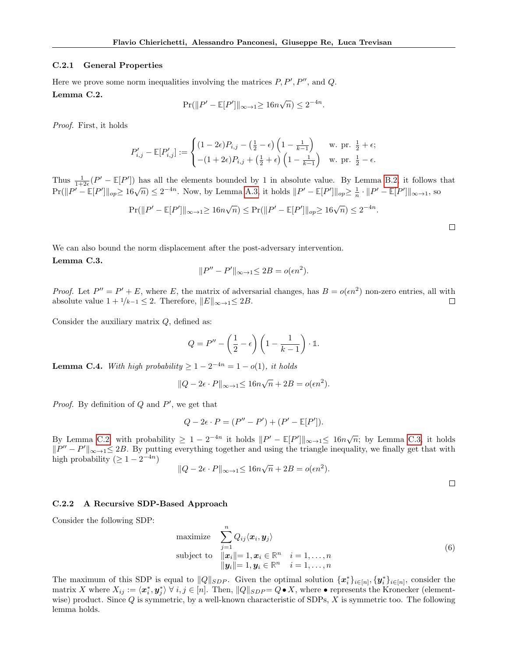#### C.2.1 General Properties

<span id="page-20-0"></span>Here we prove some norm inequalities involving the matrices  $P, P', P''$ , and  $Q$ . Lemma C.2.

$$
\Pr(||P' - \mathbb{E}[P']||_{\infty \to 1} \ge 16n\sqrt{n}) \le 2^{-4n}.
$$

Proof. First, it holds

$$
P'_{i,j} - \mathbb{E}[P'_{i,j}] := \begin{cases} (1 - 2\epsilon)P_{i,j} - \left(\frac{1}{2} - \epsilon\right)\left(1 - \frac{1}{k-1}\right) & \text{w. pr. } \frac{1}{2} + \epsilon; \\ -(1 + 2\epsilon)P_{i,j} + \left(\frac{1}{2} + \epsilon\right)\left(1 - \frac{1}{k-1}\right) & \text{w. pr. } \frac{1}{2} - \epsilon. \end{cases}
$$

Thus  $\frac{1}{1+2\epsilon}(P'-\mathbb{E}[P'])$  has all the elements bounded by 1 in absolute value. By Lemma [B.2,](#page-13-0) it follows that Pr( $||P' - \mathbb{E}[P']||_{op} \ge 16\sqrt{n}$ ) ≤ 2<sup>-4n</sup>. Now, by Lemma [A.3,](#page-11-3) it holds  $||P' - \mathbb{E}[P']||_{op} \ge \frac{1}{n} \cdot ||P' - \mathbb{E}[P']||_{\infty+1}$ , so

$$
\Pr(||P' - \mathbb{E}[P']||_{\infty \to 1} \ge 16n\sqrt{n}) \le \Pr(||P' - \mathbb{E}[P']||_{op} \ge 16\sqrt{n}) \le 2^{-4n}.
$$

<span id="page-20-1"></span>We can also bound the norm displacement after the post-adversary intervention. Lemma C.3.

$$
||P'' - P'||_{\infty \to 1} \le 2B = o(\epsilon n^2).
$$

*Proof.* Let  $P'' = P' + E$ , where E, the matrix of adversarial changes, has  $B = o(\epsilon n^2)$  non-zero entries, all with absolute value  $1 + \frac{1}{k-1} \leq 2$ . Therefore,  $||E||_{\infty \to 1} \leq 2B$ .  $\Box$ 

Consider the auxiliary matrix  $Q$ , defined as:

$$
Q = P'' - \left(\frac{1}{2} - \epsilon\right) \left(1 - \frac{1}{k - 1}\right) \cdot \mathbb{1}.
$$

<span id="page-20-2"></span>**Lemma C.4.** With high probability  $\geq 1 - 2^{-4n} = 1 - o(1)$ , it holds

$$
||Q - 2\epsilon \cdot P||_{\infty \to 1} \le 16n\sqrt{n} + 2B = o(\epsilon n^2).
$$

*Proof.* By definition of  $Q$  and  $P'$ , we get that

$$
Q - 2\epsilon \cdot P = (P'' - P') + (P' - \mathbb{E}[P']).
$$

By Lemma [C.2,](#page-20-0) with probability  $\geq 1 - 2^{-4n}$  it holds  $||P' - \mathbb{E}[P']||_{\infty \to 1} \leq 16n\sqrt{n}$ ; by Lemma [C.3,](#page-20-1) it holds  $||P'' - P'||_{\infty \to 1} \leq 2B$ . By putting everything together and using the triangle inequality, we finally get that with high probability  $( \geq 1 - 2^{-4n})$ √

$$
||Q - 2\epsilon \cdot P||_{\infty \to 1} \le 16n\sqrt{n} + 2B = o(\epsilon n^2).
$$

### C.2.2 A Recursive SDP-Based Approach

Consider the following SDP:

<span id="page-20-3"></span>maximize 
$$
\sum_{j=1}^{n} Q_{ij} \langle \mathbf{x}_i, \mathbf{y}_j \rangle
$$
  
subject to 
$$
\| \mathbf{x}_i \| = 1, \mathbf{x}_i \in \mathbb{R}^n \quad i = 1, ..., n
$$

$$
\| \mathbf{y}_i \| = 1, \mathbf{y}_i \in \mathbb{R}^n \quad i = 1, ..., n
$$

$$
(6)
$$

The maximum of this SDP is equal to  $||Q||_{SDP}$ . Given the optimal solution  $\{\boldsymbol{x}_i^*\}_{i \in [n]}, \{\boldsymbol{y}_i^*\}_{i \in [n]}$ , consider the matrix X where  $X_{ij} := \langle x_i^*, y_j^* \rangle \ \forall \ i, j \in [n]$ . Then,  $||Q||_{SDP} = Q \bullet X$ , where  $\bullet$  represents the Kronecker (elementwise) product. Since  $Q$  is symmetric, by a well-known characteristic of SDPs,  $X$  is symmetric too. The following lemma holds.

 $\Box$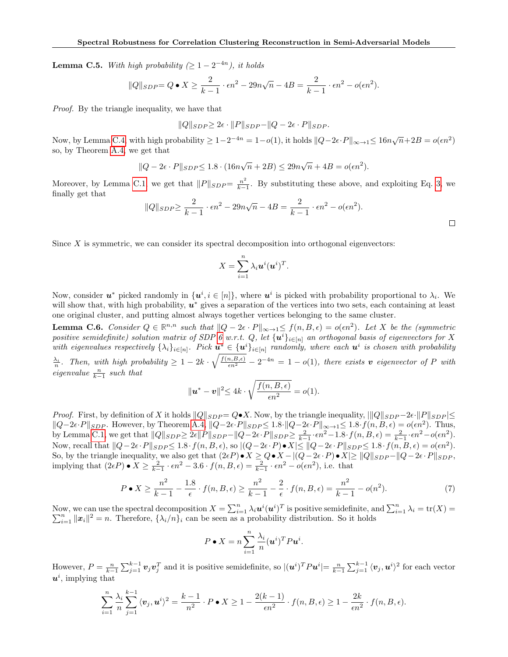<span id="page-21-1"></span>**Lemma C.5.** With high probability  $(\geq 1 - 2^{-4n})$ , it holds

$$
||Q||_{SDP} = Q \bullet X \ge \frac{2}{k-1} \cdot \epsilon n^2 - 29n\sqrt{n-4B} = \frac{2}{k-1} \cdot \epsilon n^2 - o(\epsilon n^2).
$$

Proof. By the triangle inequality, we have that

$$
||Q||_{SDP} \geq 2\epsilon \cdot ||P||_{SDP} - ||Q - 2\epsilon \cdot P||_{SDP}.
$$

Now, by Lemma [C.4,](#page-20-2) with high probability  $\geq 1-2^{-4n} = 1-o(1)$ , it holds  $||Q-2\epsilon \cdot P||_{\infty \to 1} \leq 16n\sqrt{n}+2B = o(\epsilon n^2)$ so, by Theorem [A.4,](#page-11-4) we get that

$$
||Q - 2\epsilon \cdot P||_{SDP} \le 1.8 \cdot (16n\sqrt{n} + 2B) \le 29n\sqrt{n} + 4B = o(\epsilon n^2).
$$

Moreover, by Lemma [C.1,](#page-19-0) we get that  $||P||_{SDP} = \frac{n^2}{k-1}$  $\frac{n^2}{k-1}$ . By substituting these above, and exploiting Eq. [3,](#page-7-2) we finally get that

$$
||Q||_{SDP} \ge \frac{2}{k-1} \cdot \epsilon n^2 - 29n\sqrt{n-4B} = \frac{2}{k-1} \cdot \epsilon n^2 - o(\epsilon n^2).
$$

Since  $X$  is symmetric, we can consider its spectral decomposition into orthogonal eigenvectors:

$$
X=\sum_{i=1}^n \lambda_i \boldsymbol{u}^i (\boldsymbol{u}^i)^T.
$$

Now, consider  $u^*$  picked randomly in  $\{u^i, i \in [n]\}$ , where  $u^i$  is picked with probability proportional to  $\lambda_i$ . We will show that, with high probability,  $u^*$  gives a separation of the vertices into two sets, each containing at least one original cluster, and putting almost always together vertices belonging to the same cluster.

<span id="page-21-0"></span>**Lemma C.6.** Consider  $Q \in \mathbb{R}^{n,n}$  such that  $||Q - 2\epsilon \cdot P||_{\infty} \to 1 \leq f(n, B, \epsilon) = o(\epsilon n^2)$ . Let X be the (symmetric positive semidefinite) solution matrix of SDP [6](#page-20-3) w.r.t. Q, let  $\{u^i\}_{i\in[n]}$  an orthogonal basis of eigenvectors for X with eigenvalues respectively  $\{\lambda_i\}_{i\in[n]}$ . Pick  $u^*\in\{u^i\}_{i\in[n]}$  randomly, where each  $u^i$  is chosen with probability

 $\frac{\lambda_i}{n}$ . Then, with high probability  $\geq 1-2k\cdot\sqrt{\frac{f(n,B,\epsilon)}{\epsilon n^2}}-2^{-4n}=1-o(1)$ , there exists v eigenvector of P with eigenvalue  $\frac{n}{k-1}$  such that

$$
\|\mathbf{u}^* - \mathbf{v}\|^2 \le 4k \cdot \sqrt{\frac{f(n, B, \epsilon)}{\epsilon n^2}} = o(1).
$$

*Proof.* First, by definition of X it holds  $||Q||_{SDP} = Q \cdot X$ . Now, by the triangle inequality,  $|||Q||_{SDP} - 2\epsilon \cdot ||P||_{SDP}| \le$  $||Q-2\epsilon \cdot P||_{SDP}$ . However, by Theorem [A.4,](#page-11-4)  $||Q-2\epsilon \cdot P||_{SDP} \leq 1.8 \cdot ||Q-2\epsilon \cdot P||_{\infty \to 1} \leq 1.8 \cdot f(n, B, \epsilon) = o(\epsilon n^2)$ . Thus, by Lemma [C.1,](#page-19-0) we get that  $||Q||_{SDP} \geq 2\epsilon ||P||_{SDP} - ||Q - 2\epsilon \cdot P||_{SDP} \geq \frac{2}{k-1} \cdot \epsilon n^2 - 1.8 \cdot f(n, B, \epsilon) = \frac{2}{k-1} \cdot \epsilon n^2 - o(\epsilon n^2)$ . Now, recall that  $||Q-2\epsilon \cdot P||_{SDP} \leq 1.8 \cdot f(n, B, \epsilon)$ , so  $|(Q-2\epsilon \cdot P) \cdot X| \leq ||Q-2\epsilon \cdot P||_{SDP} \leq 1.8 \cdot f(n, B, \epsilon) = o(\epsilon n^2)$ . So, by the triangle inequality, we also get that  $(2\epsilon P) \bullet X \ge Q \bullet X - |(Q-2\epsilon \cdot P) \bullet X| \ge ||Q||_{SDP} - ||Q-2\epsilon \cdot P||_{SDP}$ , implying that  $(2\epsilon P) \bullet X \geq \frac{2}{k-1} \cdot \epsilon n^2 - 3.6 \cdot f(n, B, \epsilon) = \frac{2}{k-1} \cdot \epsilon n^2 - o(\epsilon n^2)$ , i.e. that

$$
P \bullet X \ge \frac{n^2}{k-1} - \frac{1.8}{\epsilon} \cdot f(n, B, \epsilon) \ge \frac{n^2}{k-1} - \frac{2}{\epsilon} \cdot f(n, B, \epsilon) = \frac{n^2}{k-1} - o(n^2). \tag{7}
$$

Now, we can use the spectral decomposition  $X = \sum_{i=1}^n \lambda_i \mathbf{u}^i(\mathbf{u}^i)^T$  is positive semidefinite, and  $\sum_{i=1}^n \lambda_i = \text{tr}(X) =$  $\sum_{i=1}^{n} ||x_i||^2 = n$ . Therefore,  $\{\lambda_i/n\}_i$  can be seen as a probability distribution. So it holds

$$
P \bullet X = n \sum_{i=1}^{n} \frac{\lambda_i}{n} (\boldsymbol{u}^i)^T P \boldsymbol{u}^i.
$$

However,  $P = \frac{n}{k-1} \sum_{j=1}^{k-1} \boldsymbol{v}_j \boldsymbol{v}_j^T$  and it is positive semidefinite, so  $|(\boldsymbol{u}^i)^T P \boldsymbol{u}^i| = \frac{n}{k-1} \sum_{j=1}^{k-1} \langle \boldsymbol{v}_j, \boldsymbol{u}^i \rangle^2$  for each vector  $u^i$ , implying that

$$
\sum_{i=1}^n \frac{\lambda_i}{n} \sum_{j=1}^{k-1} \langle v_j, u^i \rangle^2 = \frac{k-1}{n^2} \cdot P \bullet X \ge 1 - \frac{2(k-1)}{\epsilon n^2} \cdot f(n, B, \epsilon) \ge 1 - \frac{2k}{\epsilon n^2} \cdot f(n, B, \epsilon).
$$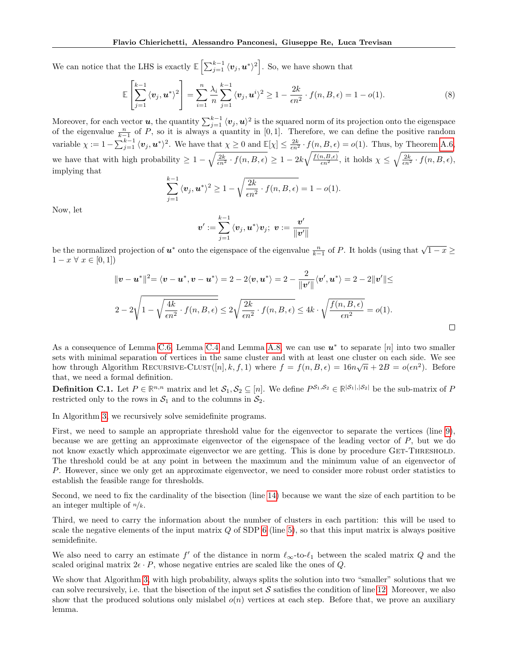We can notice that the LHS is exactly  $\mathbb{E}\left[\sum_{j=1}^{k-1} \langle \boldsymbol{v}_j, \boldsymbol{u}^*\rangle^2\right]$ . So, we have shown that

$$
\mathbb{E}\left[\sum_{j=1}^{k-1} \langle v_j, \boldsymbol{u}^* \rangle^2\right] = \sum_{i=1}^n \frac{\lambda_i}{n} \sum_{j=1}^{k-1} \langle v_j, \boldsymbol{u}^i \rangle^2 \ge 1 - \frac{2k}{\epsilon n^2} \cdot f(n, B, \epsilon) = 1 - o(1). \tag{8}
$$

Moreover, for each vector  $u$ , the quantity  $\sum_{j=1}^{k-1} \langle v_j, u \rangle^2$  is the squared norm of its projection onto the eigenspace of the eigenvalue  $\frac{n}{k-1}$  of P, so it is always a quantity in [0, 1]. Therefore, we can define the positive random variable  $\chi := 1 - \sum_{j=1}^{k-1} \langle v_j, u^* \rangle^2$ . We have that  $\chi \geq 0$  and  $\mathbb{E}[\chi] \leq \frac{2k}{\epsilon n^2} \cdot f(n, B, \epsilon) = o(1)$ . Thus, by Theorem [A.6,](#page-11-5) we have that with high probability  $\geq 1 - \sqrt{\frac{2k}{\epsilon n^2} \cdot f(n, B, \epsilon)} \geq 1 - 2k \sqrt{\frac{f(n, B, \epsilon)}{\epsilon n^2}}$ , it holds  $\chi \leq \sqrt{\frac{2k}{\epsilon n^2} \cdot f(n, B, \epsilon)}$ , implying that

$$
\sum_{j=1}^{k-1} \langle v_j, \mathbf{u}^* \rangle^2 \ge 1 - \sqrt{\frac{2k}{\epsilon n^2} \cdot f(n, B, \epsilon)} = 1 - o(1).
$$

Now, let

$$
\boldsymbol{v}^\prime:=\sum_{j=1}^{k-1}\,\langle \boldsymbol{v}_j,\boldsymbol{u}^*\rangle \boldsymbol{v}_j;\,\, \boldsymbol{v}:=\frac{\boldsymbol{v}^\prime}{\|\boldsymbol{v}^\prime\|}
$$

be the normalized projection of  $u^*$  onto the eigenspace of the eigenvalue  $\frac{n}{k-1}$  of P. It holds (using that  $\sqrt{1-x} \ge$  $1 - x \forall x \in [0, 1]$ 

$$
\|\mathbf{v} - \mathbf{u}^*\|^2 = \langle \mathbf{v} - \mathbf{u}^*, \mathbf{v} - \mathbf{u}^* \rangle = 2 - 2\langle \mathbf{v}, \mathbf{u}^* \rangle = 2 - \frac{2}{\|\mathbf{v}'\|} \langle \mathbf{v}', \mathbf{u}^* \rangle = 2 - 2\|\mathbf{v}'\| \le
$$
  

$$
2 - 2\sqrt{1 - \sqrt{\frac{4k}{\epsilon n^2} \cdot f(n, B, \epsilon)} \le 2\sqrt{\frac{2k}{\epsilon n^2} \cdot f(n, B, \epsilon)} \le 4k \cdot \sqrt{\frac{f(n, B, \epsilon)}{\epsilon n^2}} = o(1).
$$

As a consequence of Lemma [C.6,](#page-21-0) Lemma [C.4](#page-20-2) and Lemma [A.8,](#page-12-1) we can use  $u^*$  to separate [n] into two smaller sets with minimal separation of vertices in the same cluster and with at least one cluster on each side. We see how through Algorithm RECURSIVE-CLUST([n], k, f, 1) where  $f = f(n, B, \epsilon) = 16n\sqrt{n} + 2B = o(\epsilon n^2)$ . Before that, we need a formal definition.

**Definition C.1.** Let  $P \in \mathbb{R}^{n,n}$  matrix and let  $\mathcal{S}_1, \mathcal{S}_2 \subseteq [n]$ . We define  $P^{\mathcal{S}_1, \mathcal{S}_2} \in \mathbb{R}^{|\mathcal{S}_1|, |\mathcal{S}_2|}$  be the sub-matrix of P restricted only to the rows in  $S_1$  and to the columns in  $S_2$ .

In Algorithm [3,](#page-23-0) we recursively solve semidefinite programs.

First, we need to sample an appropriate threshold value for the eigenvector to separate the vertices (line [9\)](#page-23-1), because we are getting an approximate eigenvector of the eigenspace of the leading vector of  $P$ , but we do not know exactly which approximate eigenvector we are getting. This is done by procedure GET-THRESHOLD. The threshold could be at any point in between the maximum and the minimum value of an eigenvector of P. However, since we only get an approximate eigenvector, we need to consider more robust order statistics to establish the feasible range for thresholds.

Second, we need to fix the cardinality of the bisection (line [14\)](#page-23-2) because we want the size of each partition to be an integer multiple of  $n/k$ .

Third, we need to carry the information about the number of clusters in each partition: this will be used to scale the negative elements of the input matrix  $Q$  of SDP [6](#page-20-3) (line [5\)](#page-23-3), so that this input matrix is always positive semidefinite.

We also need to carry an estimate  $f'$  of the distance in norm  $\ell_{\infty}$ -to- $\ell_1$  between the scaled matrix Q and the scaled original matrix  $2\epsilon \cdot P$ , whose negative entries are scaled like the ones of Q.

We show that Algorithm [3,](#page-23-0) with high probability, always splits the solution into two "smaller" solutions that we can solve recursively, i.e. that the bisection of the input set  $S$  satisfies the condition of line [12.](#page-23-4) Moreover, we also show that the produced solutions only mislabel  $o(n)$  vertices at each step. Before that, we prove an auxiliary lemma.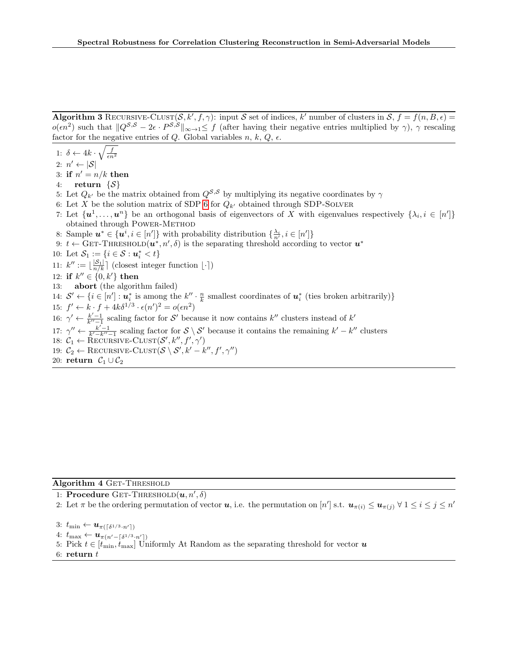Algorithm 3 RECURSIVE-CLUST $(S, k', f, \gamma)$ : input S set of indices, k' number of clusters in  $S, f = f(n, B, \epsilon)$  $o(\epsilon n^2)$  such that  $||Q^{S,S} - 2\epsilon \cdot P^{S,S}||_{\infty \to 1} \leq f$  (after having their negative entries multiplied by  $\gamma$ ),  $\gamma$  rescaling factor for the negative entries of Q. Global variables  $n, k, Q, \epsilon$ .

<span id="page-23-0"></span>1: 
$$
\delta \leftarrow 4k \cdot \sqrt{\frac{f}{\epsilon n^2}}
$$

2:  $n' \leftarrow |\mathcal{S}|$ 

3: if  $n' = n/k$  then

- 4: return  $\{\mathcal{S}\}\$
- <span id="page-23-3"></span>5: Let  $Q_{k'}$  be the matrix obtained from  $Q^{\mathcal{S},\mathcal{S}}$  by multiplying its negative coordinates by  $\gamma$
- 6: Let X be the solution matrix of SDP [6](#page-20-3) for  $Q_{k'}$  obtained through SDP-SOLVER
- 7: Let  $\{u^1, \ldots, u^n\}$  be an orthogonal basis of eigenvectors of X with eigenvalues respectively  $\{\lambda_i, i \in [n']\}$ obtained through POWER-METHOD
- <span id="page-23-1"></span>8: Sample  $u^* \in \{u^i, i \in [n']\}$  with probability distribution  $\{\frac{\lambda_i}{n'}, i \in [n']\}$
- <span id="page-23-4"></span>9:  $t \leftarrow$  GET-THRESHOLD $(u^*, n', \delta)$  is the separating threshold according to vector  $u^*$
- 10: Let  $S_1 := \{i \in S : u_i^* < t\}$
- 11:  $k'' := \lfloor \frac{|\mathcal{S}_1|}{n/k} \rfloor$  (closest integer function  $\lfloor \cdot \rceil$ )
- 12: if  $k'' \in \{0, k'\}$  then
- 13: abort (the algorithm failed)

<span id="page-23-2"></span>14:  $\mathcal{S}' \leftarrow \{i \in [n'] : \mathbf{u}_i^* \text{ is among the } k'' \cdot \frac{n}{k} \text{ smallest coordinates of } \mathbf{u}_i^* \text{ (ties broken arbitrarily)}\}\$ 

- 15:  $f' \leftarrow k \cdot f + 4k\delta^{1/3} \cdot \epsilon(n')^2 = o(\epsilon n^2)$
- 16:  $\gamma' \leftarrow \frac{k'-1}{k''-1}$  scaling factor for S' because it now contains k'' clusters instead of k'
- 17:  $\gamma'' \leftarrow \frac{k'-1}{k'-k''-1}$  scaling factor for  $S \setminus S'$  because it contains the remaining  $k'-k''$  clusters
- 18:  $C_1 \leftarrow \text{RECURSIVE-CLUST}(\mathcal{S}', k'', f', \gamma')$

19:  $C_2 \leftarrow$  RECURSIVE-CLUST $(\mathcal{S} \setminus \mathcal{S}', k'-k'', f', \gamma'')$ 

20: return  $C_1 \cup C_2$ 

### Algorithm 4 GET-THRESHOLD

1: Procedure GET-THRESHOLD $(\boldsymbol{u}, n', \delta)$ 

- 2: Let  $\pi$  be the ordering permutation of vector **u**, i.e. the permutation on  $[n']$  s.t.  $u_{\pi(i)} \le u_{\pi(j)} \forall 1 \le i \le j \le n'$
- 3:  $t_{\min} \leftarrow \boldsymbol{u}_{\pi(\lceil \delta^{1/3} \cdot n' \rceil)}$
- 4:  $t_{\max} \leftarrow \boldsymbol{u}_{\pi(n'-\lceil \delta^{1/3} \cdot n' \rceil)}$
- 5: Pick  $t \in [t_{\min}, t_{\max}]$  Uniformly At Random as the separating threshold for vector  $\boldsymbol{u}$
- 6: return  $t$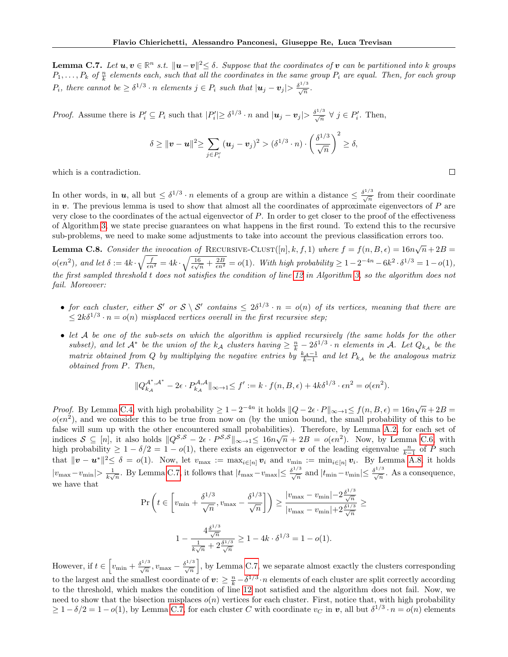<span id="page-24-0"></span>**Lemma C.7.** Let  $u, v \in \mathbb{R}^n$  s.t.  $||u-v||^2 \le \delta$ . Suppose that the coordinates of v can be partitioned into k groups  $P_1,\ldots,P_k$  of  $\frac{n}{k}$  elements each, such that all the coordinates in the same group  $P_i$  are equal. Then, for each group  $P_i$ , there cannot be  $\geq \delta^{1/3} \cdot n$  elements  $j \in P_i$  such that  $|\mathbf{u}_j - \mathbf{v}_j| > \frac{\delta^{1/3}}{\sqrt{n}}$ .

*Proof.* Assume there is  $P'_i \subseteq P_i$  such that  $|P'_i| \geq \delta^{1/3} \cdot n$  and  $|\mathbf{u}_j - \mathbf{v}_j| > \frac{\delta^{1/3}}{\sqrt{n}} \ \forall \ j \in P'_i$ . Then,

$$
\delta \geq \|\boldsymbol{v} - \boldsymbol{u}\|^2 \geq \sum_{j \in P_i'} (\boldsymbol{u}_j - \boldsymbol{v}_j)^2 > (\delta^{1/3} \cdot n) \cdot \left(\frac{\delta^{1/3}}{\sqrt{n}}\right)^2 \geq \delta,
$$

which is a contradiction.

In other words, in  $u$ , all but  $\leq \delta^{1/3} \cdot n$  elements of a group are within a distance  $\leq \frac{\delta^{1/3}}{\sqrt{n}}$  from their coordinate in  $\boldsymbol{v}$ . The previous lemma is used to show that almost all the coordinates of approximate eigenvectors of  $P$  are very close to the coordinates of the actual eigenvector of P. In order to get closer to the proof of the effectiveness of Algorithm [3,](#page-23-0) we state precise guarantees on what happens in the first round. To extend this to the recursive sub-problems, we need to make some adjustments to take into account the previous classification errors too.

<span id="page-24-1"></span>**Lemma C.8.** Consider the invocation of RECURSIVE-CLUST([n], k, f, 1) where  $f = f(n, B, \epsilon) = 16n\sqrt{n} + 2B$  $o(\epsilon n^2)$ , and let  $\delta := 4k \cdot \sqrt{\frac{f}{\epsilon n^2}} = 4k \cdot \sqrt{\frac{16}{\epsilon \sqrt{n}} + \frac{2B}{\epsilon n^2}} = o(1)$ . With high probability  $\geq 1 - 2^{-4n} - 6k^2 \cdot \delta^{1/3} = 1 - o(1)$ , the first sampled threshold t does not satisfies the condition of line [12](#page-23-4) in Algorithm [3,](#page-23-0) so the algorithm does not fail. Moreover:

- for each cluster, either S' or  $S \setminus S'$  contains  $\leq 2\delta^{1/3} \cdot n = o(n)$  of its vertices, meaning that there are  $\leq 2k\delta^{1/3} \cdot n = o(n)$  misplaced vertices overall in the first recursive step;
- let A be one of the sub-sets on which the algorithm is applied recursively (the same holds for the other subset), and let  $A^*$  be the union of the  $k_A$  clusters having  $\geq \frac{n}{k} - 2\delta^{1/3} \cdot n$  elements in A. Let  $Q_{k_A}$  be the matrix obtained from Q by multiplying the negative entries by  $\frac{k_A-1}{k-1}$  and let  $P_{k_A}$  be the analogous matrix obtained from P. Then,

$$
||Q_{k_A}^{\mathcal{A}^*,\mathcal{A}^*} - 2\epsilon \cdot P_{k_A}^{\mathcal{A},\mathcal{A}}||_{\infty \to 1} \le f' := k \cdot f(n, B, \epsilon) + 4k\delta^{1/3} \cdot \epsilon n^2 = o(\epsilon n^2).
$$

*Proof.* By Lemma [C.4,](#page-20-2) with high probability  $\geq 1 - 2^{-4n}$  it holds  $||Q - 2\epsilon \cdot P||_{\infty \to 1} \leq f(n, B, \epsilon) = 16n\sqrt{n} + 2B$  $o(\epsilon n^2)$ , and we consider this to be true from now on (by the union bound, the small probability of this to be false will sum up with the other encountered small probabilities). Therefore, by Lemma [A.2,](#page-11-6) for each set of value with sum up with the other encountered small probabilities). Therefore, by Lemma A.2, for each set of indices  $S \subseteq [n]$ , it also holds  $\|Q^{S,S} - 2\epsilon \cdot P^{S,S}\|_{\infty \to 1} \leq 16n\sqrt{n} + 2B = o(\epsilon n^2)$ . Now, by Lemma [C.6,](#page-21-0) with high probability  $\geq 1 - \delta/2 = 1 - o(1)$ , there exists an eigenvector v of the leading eigenvalue  $\frac{n}{k-1}$  of P such that  $\|\boldsymbol{v}-\boldsymbol{u}^*\|^2 \leq \delta = o(1)$ . Now, let  $v_{\text{max}} := \max_{i \in [n]} v_i$  and  $v_{\text{min}} := \min_{i \in [n]} v_i$ . By Lemma [A.8,](#page-12-1) it holds  $|v_{\text{max}}-v_{\text{min}}|> \frac{1}{k\sqrt{n}}$ . By Lemma [C.7,](#page-24-0) it follows that  $|t_{\text{max}}-v_{\text{max}}| \leq \frac{\delta^{1/3}}{\sqrt{n}}$  and  $|t_{\text{min}}-v_{\text{min}}| \leq \frac{\delta^{1/3}}{\sqrt{n}}$ . As a consequence, we have that

$$
\Pr\left(t \in \left[v_{\min} + \frac{\delta^{1/3}}{\sqrt{n}}, v_{\max} - \frac{\delta^{1/3}}{\sqrt{n}}\right]\right) \ge \frac{|v_{\max} - v_{\min}| - 2\frac{\delta^{1/3}}{\sqrt{n}}}{|v_{\max} - v_{\min}| + 2\frac{\delta^{1/3}}{\sqrt{n}}} \ge
$$
  

$$
1 - \frac{4\frac{\delta^{1/3}}{\sqrt{n}}}{\frac{1}{k\sqrt{n}} + 2\frac{\delta^{1/3}}{\sqrt{n}}} \ge 1 - 4k \cdot \delta^{1/3} = 1 - o(1).
$$

However, if  $t \in \left[v_{\min} + \frac{\delta^{1/3}}{\sqrt{n}}, v_{\max} - \frac{\delta^{1/3}}{\sqrt{n}}\right]$ , by Lemma [C.7,](#page-24-0) we separate almost exactly the clusters corresponding to the largest and the smallest coordinate of  $v: \geq \frac{n}{k} - \delta^{1/3} \cdot n$  elements of each cluster are split correctly according to the threshold, which makes the condition of line [12](#page-23-4) not satisfied and the algorithm does not fail. Now, we need to show that the bisection misplaces  $o(n)$  vertices for each cluster. First, notice that, with high probability  $\geq 1-\delta/2=1-o(1)$ , by Lemma [C.7,](#page-24-0) for each cluster C with coordinate  $v_C$  in v, all but  $\delta^{1/3} \cdot n = o(n)$  elements

 $\Box$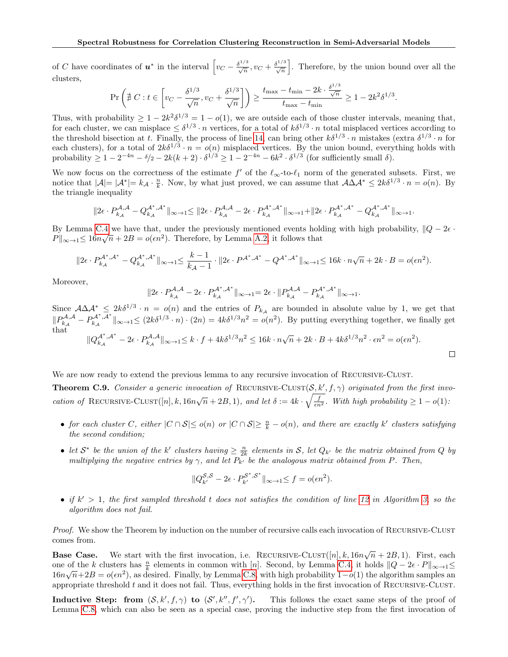of C have coordinates of  $u^*$  in the interval  $\left[v_C - \frac{\delta^{1/3}}{\sqrt{n}}, v_C + \frac{\delta^{1/3}}{\sqrt{n}}\right]$ . Therefore, by the union bound over all the clusters,

$$
\Pr\left(\nexists C : t \in \left[v_C - \frac{\delta^{1/3}}{\sqrt{n}}, v_C + \frac{\delta^{1/3}}{\sqrt{n}}\right]\right) \ge \frac{t_{\max} - t_{\min} - 2k \cdot \frac{\delta^{1/3}}{\sqrt{n}}}{t_{\max} - t_{\min}} \ge 1 - 2k^2 \delta^{1/3}.
$$

Thus, with probability  $\geq 1 - 2k^2 \delta^{1/3} = 1 - o(1)$ , we are outside each of those cluster intervals, meaning that, for each cluster, we can misplace  $\leq \delta^{1/3} \cdot n$  vertices, for a total of  $k\delta^{1/3} \cdot n$  total misplaced vertices according to the threshold bisection at t. Finally, the process of line [14,](#page-23-2) can bring other  $k\delta^{1/3} \cdot n$  mistakes (extra  $\delta^{1/3} \cdot n$  for each clusters), for a total of  $2k\delta^{1/3} \cdot n = o(n)$  misplaced vertices. By the union bound, everything holds with probability  $\geq 1 - 2^{-4n} - \delta/2 - 2k(k+2) \cdot \delta^{1/3} \geq 1 - 2^{-4n} - 6k^2 \cdot \delta^{1/3}$  (for sufficiently small  $\delta$ ).

We now focus on the correctness of the estimate f' of the  $\ell_{\infty}$ -to- $\ell_1$  norm of the generated subsets. First, we notice that  $|\mathcal{A}| = |\mathcal{A}^*| = k_{\mathcal{A}} \cdot \frac{n}{k}$ . Now, by what just proved, we can assume that  $\mathcal{A}\Delta\mathcal{A}^* \leq 2k\delta^{1/3} \cdot n = o(n)$ . By the triangle inequality

$$
||2\varepsilon\cdot P_{k_{\mathcal{A}}}^{\mathcal{A},\mathcal{A}}-Q_{k_{\mathcal{A}}}^{\mathcal{A}^*,\mathcal{A}^*}||_{\infty\to 1} \leq ||2\varepsilon\cdot P_{k_{\mathcal{A}}}^{\mathcal{A},\mathcal{A}}-2\varepsilon\cdot P_{k_{\mathcal{A}}}^{\mathcal{A}^*,\mathcal{A}^*}||_{\infty\to 1}+||2\varepsilon\cdot P_{k_{\mathcal{A}}}^{\mathcal{A}^*,\mathcal{A}^*}-Q_{k_{\mathcal{A}}}^{\mathcal{A}^*,\mathcal{A}^*}||_{\infty\to 1}.
$$

By Lemma [C.4](#page-20-2) we have that, under the previously mentioned events holding with high probability,  $||Q - 2\epsilon \cdot$  $P\|_{\infty\to 1} \leq 16n\sqrt{n} + 2B = o(\epsilon n^2)$ . Therefore, by Lemma [A.2,](#page-11-6) it follows that

$$
\|2\epsilon\cdot P_{k_{\mathcal{A}}}^{\mathcal{A}^*,\mathcal{A}^*}-Q_{k_{\mathcal{A}}}^{\mathcal{A}^*,\mathcal{A}^*}\|_{\infty\to 1}\leq \frac{k-1}{k_{\mathcal{A}}-1}\cdot \|2\epsilon\cdot P^{\mathcal{A}^*,\mathcal{A}^*}-Q^{\mathcal{A}^*,\mathcal{A}^*}\|_{\infty\to 1}\leq 16k\cdot n\sqrt{n}+2k\cdot B=o(\epsilon n^2).
$$

Moreover,

$$
||2\epsilon \cdot P_{k\mathcal{A}}^{\mathcal{A},\mathcal{A}} - 2\epsilon \cdot P_{k\mathcal{A}}^{\mathcal{A}^*,\mathcal{A}^*}||_{\infty \to 1} = 2\epsilon \cdot ||P_{k\mathcal{A}}^{\mathcal{A},\mathcal{A}} - P_{k\mathcal{A}}^{\mathcal{A}^*,\mathcal{A}^*}||_{\infty \to 1}.
$$

Since  $A\Delta A^* \leq 2k\delta^{1/3} \cdot n = o(n)$  and the entries of  $P_{k\mathcal{A}}$  are bounded in absolute value by 1, we get that  $\label{eq:Riccati} \| P^{\mathcal{A},\mathcal{A}}_{k_\mathcal{A}} - P^{\mathcal{A}^*,\mathcal{A}^*}_{k_\mathcal{A}}$  $\|k_{k}^{\mathcal{A}^*,\mathcal{A}^*}\|_{\infty \to 1} \leq (2k\delta^{1/3} \cdot n) \cdot (2n) = 4k\delta^{1/3} n^2 = o(n^2)$ . By putting everything together, we finally get that  $\frac{\mathcal{A}^*, \mathcal{A}^*}{k_{\mathcal{A}}} - 2\epsilon \cdot P_{k_{\mathcal{A}}}^{\mathcal{A},\mathcal{A}}\|_{\infty \to 1} \leq k \cdot f + 4k\delta^{1/3}n^2 \leq 16k \cdot n\sqrt{n} + 2k \cdot B + 4k\delta^{1/3}n^2 \cdot \epsilon n^2 = o(\epsilon n^2).$  $\|Q_{k_A}^{\mathcal{A}^*,\mathcal{A}^*}$  $\Box$ 

We are now ready to extend the previous lemma to any recursive invocation of RECURSIVE-CLUST.

**Theorem C.9.** Consider a generic invocation of RECURSIVE-CLUST( $S, k', f, \gamma$ ) originated from the first invocation of RECURSIVE-CLUST $([n], k, 16n\sqrt{n} + 2B, 1)$ , and let  $\delta := 4k \cdot \sqrt{\frac{f}{\epsilon n^2}}$ . With high probability  $\geq 1 - o(1)$ :

- for each cluster C, either  $|C \cap S| \le o(n)$  or  $|C \cap S| \ge \frac{n}{k} o(n)$ , and there are exactly k' clusters satisfying the second condition;
- let  $S^*$  be the union of the k' clusters having  $\geq \frac{n}{2k}$  elements in S, let  $Q_{k'}$  be the matrix obtained from Q by multiplying the negative entries by  $\gamma$ , and let  $P_{k'}$  be the analogous matrix obtained from P. Then,

$$
\|Q_{k'}^{\mathcal{S},\mathcal{S}} - 2\epsilon \cdot P_{k'}^{\mathcal{S}^*,\mathcal{S}^*}\|_{\infty \to 1} \le f = o(\epsilon n^2).
$$

• if  $k' > 1$ , the first sampled threshold t does not satisfies the condition of line [12](#page-23-4) in Algorithm [3,](#page-23-0) so the algorithm does not fail.

Proof. We show the Theorem by induction on the number of recursive calls each invocation of RECURSIVE-CLUST comes from.

**Base Case.** We start with the first invocation, i.e. RECURSIVE-CLUST([n], k,  $16n\sqrt{n} + 2B$ , 1). First, each one of the k clusters has  $\frac{n}{k}$  elements in common with [n]. Second, by Lemma [C.4,](#page-20-2) it holds  $||Q - 2\epsilon \cdot P||_{\infty \to 1} \le$  $16n\sqrt{n}+2B = o(\epsilon n^2)$ , as desired. Finally, by Lemma [C.8,](#page-24-1) with high probability  $1-o(1)$  the algorithm samples an appropriate threshold  $t$  and it does not fail. Thus, everything holds in the first invocation of RECURSIVE-CLUST.

**Inductive Step:** from  $(S, k', f, \gamma)$  to  $(S', k'', f', \gamma')$ . This follows the exact same steps of the proof of Lemma [C.8,](#page-24-1) which can also be seen as a special case, proving the inductive step from the first invocation of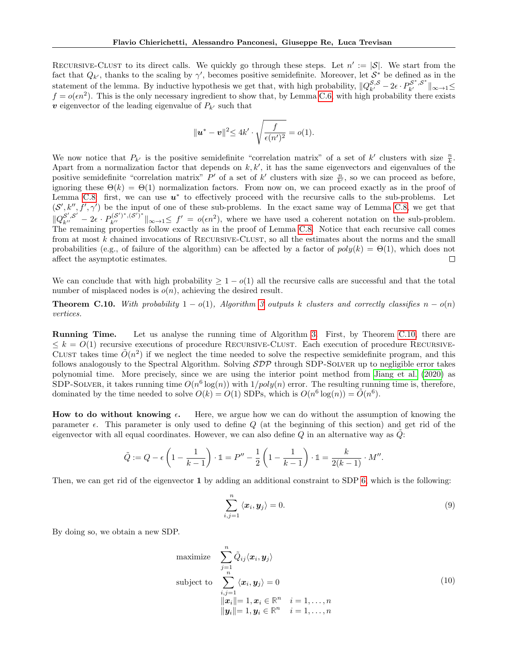RECURSIVE-CLUST to its direct calls. We quickly go through these steps. Let  $n' := |\mathcal{S}|$ . We start from the fact that  $Q_{k'}$ , thanks to the scaling by  $\gamma'$ , becomes positive semidefinite. Moreover, let  $S^*$  be defined as in the statement of the lemma. By inductive hypothesis we get that, with high probability,  $||Q_{k'}^{\mathcal{S},\mathcal{S}} - 2\epsilon \cdot P_{k'}^{\mathcal{S}^*,\mathcal{S}^*}||_{\infty \to 1} \leq$  $f = o(\epsilon n^2)$ . This is the only necessary ingredient to show that, by Lemma [C.6,](#page-21-0) with high probability there exists  $v$  eigenvector of the leading eigenvalue of  $P_{k'}$  such that

$$
\|\mathbf{u}^* - \mathbf{v}\|^2 \le 4k' \cdot \sqrt{\frac{f}{\epsilon(n')^2}} = o(1).
$$

We now notice that  $P_{k'}$  is the positive semidefinite "correlation matrix" of a set of k' clusters with size  $\frac{n}{k}$ . Apart from a normalization factor that depends on  $k, k'$ , it has the same eigenvectors and eigenvalues of the positive semidefinite "correlation matrix" P' of a set of k' clusters with size  $\frac{n}{k'}$ , so we can proceed as before, ignoring these  $\Theta(k) = \Theta(1)$  normalization factors. From now on, we can proceed exactly as in the proof of Lemma [C.8:](#page-24-1) first, we can use  $u^*$  to effectively proceed with the recursive calls to the sub-problems. Let  $(S', k'', f', \gamma')$  be the input of one of these sub-problems. In the exact same way of Lemma [C.8,](#page-24-1) we get that  $\|Q_{k''}^{\mathcal{S}',\mathcal{S}'}-2\epsilon\cdot P_{k''}^{(\mathcal{S}')^*,(\mathcal{S}')^*}\|_{\infty\to 1} \leq f' = o(\epsilon n^2)$ , where we have used a coherent notation on the sub-problem. The remaining properties follow exactly as in the proof of Lemma [C.8.](#page-24-1) Notice that each recursive call comes from at most  $k$  chained invocations of RECURSIVE-CLUST, so all the estimates about the norms and the small probabilities (e.g., of failure of the algorithm) can be affected by a factor of  $poly(k) = \Theta(1)$ , which does not affect the asymptotic estimates.  $\Box$ 

We can conclude that with high probability  $\geq 1 - o(1)$  all the recursive calls are successful and that the total number of misplaced nodes is  $o(n)$ , achieving the desired result.

<span id="page-26-0"></span>**Theorem C.10.** With probability  $1 - o(1)$ , Algorithm [3](#page-23-0) outputs k clusters and correctly classifies  $n - o(n)$ vertices.

Running Time. Let us analyse the running time of Algorithm [3.](#page-23-0) First, by Theorem [C.10,](#page-26-0) there are  $\leq k = O(1)$  recursive executions of procedure RECURSIVE-CLUST. Each execution of procedure RECURSIVE-CLUST takes time  $\tilde{O}(n^2)$  if we neglect the time needed to solve the respective semidefinite program, and this follows analogously to the Spectral Algorithm. Solving  $SDP$  through SDP-SOLVER up to negligible error takes polynomial time. More precisely, since we are using the interior point method from [Jiang et al.](#page-9-19) [\(2020\)](#page-9-19) as SDP-SOLVER, it takes running time  $O(n^6 \log(n))$  with  $1/poly(n)$  error. The resulting running time is, therefore, dominated by the time needed to solve  $O(k) = O(1)$  SDPs, which is  $O(n^6 \log(n)) = O(n^6)$ .

How to do without knowing  $\epsilon$ . Here, we argue how we can do without the assumption of knowing the parameter  $\epsilon$ . This parameter is only used to define Q (at the beginning of this section) and get rid of the eigenvector with all equal coordinates. However, we can also define  $Q$  in an alternative way as  $Q$ :

$$
\tilde{Q} := Q - \epsilon \left( 1 - \frac{1}{k-1} \right) \cdot \mathbb{1} = P'' - \frac{1}{2} \left( 1 - \frac{1}{k-1} \right) \cdot \mathbb{1} = \frac{k}{2(k-1)} \cdot M''.
$$

Then, we can get rid of the eigenvector 1 by adding an additional constraint to SDP [6,](#page-20-3) which is the following:

<span id="page-26-2"></span>
$$
\sum_{i,j=1}^{n} \langle x_i, y_j \rangle = 0.
$$
 (9)

By doing so, we obtain a new SDP.

<span id="page-26-1"></span>maximize 
$$
\sum_{j=1}^{n} \tilde{Q}_{ij} \langle \boldsymbol{x}_i, \boldsymbol{y}_j \rangle
$$
  
\nsubject to 
$$
\sum_{i,j=1}^{n} \langle \boldsymbol{x}_i, \boldsymbol{y}_j \rangle = 0
$$
  
\n
$$
||\boldsymbol{x}_i|| = 1, \boldsymbol{x}_i \in \mathbb{R}^n \quad i = 1, ..., n
$$
  
\n
$$
||\boldsymbol{y}_i|| = 1, \boldsymbol{y}_i \in \mathbb{R}^n \quad i = 1, ..., n
$$
\n(10)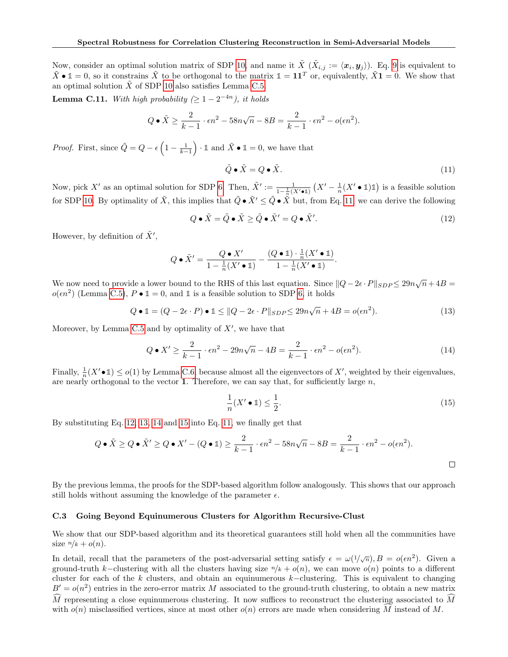Now, consider an optimal solution matrix of SDP [10,](#page-26-1) and name it  $\tilde{X}(\tilde{X}_{i,j} := \langle x_i, y_j \rangle)$ . Eq. [9](#page-26-2) is equivalent to  $\tilde{X} \bullet \mathbb{1} = 0$ , so it constrains  $\tilde{X}$  to be orthogonal to the matrix  $\mathbb{1} = 11^T$  or, equivalently,  $\tilde{X} \bullet \mathbb{1} = 0$ . We show that an optimal solution  $\ddot{X}$  of SDP [10](#page-26-1) also satisfies Lemma [C.5.](#page-21-1)

**Lemma C.11.** With high probability  $(\geq 1 - 2^{-4n})$ , it holds

$$
Q \bullet \tilde{X} \ge \frac{2}{k-1} \cdot \epsilon n^2 - 58n\sqrt{n} - 8B = \frac{2}{k-1} \cdot \epsilon n^2 - o(\epsilon n^2).
$$

*Proof.* First, since  $\tilde{Q} = Q - \epsilon \left(1 - \frac{1}{k-1}\right) \cdot \mathbb{1}$  and  $\tilde{X} \bullet \mathbb{1} = 0$ , we have that

<span id="page-27-0"></span>
$$
\tilde{Q} \bullet \tilde{X} = Q \bullet \tilde{X}.
$$
\n(11)

Now, pick X' as an optimal solution for SDP [6.](#page-20-3) Then,  $\tilde{X}' := \frac{1}{1-\frac{1}{n}(X'\bullet \mathbb{1})} (X' - \frac{1}{n}(X' \bullet \mathbb{1})\mathbb{1})$  is a feasible solution for SDP [10.](#page-26-1) By optimality of  $\tilde{X}$ , this implies that  $\tilde{Q} \cdot \tilde{X}' \leq \tilde{Q} \cdot \tilde{X}$  but, from Eq. [11,](#page-27-0) we can derive the following

<span id="page-27-1"></span>
$$
Q \bullet \tilde{X} = \tilde{Q} \bullet \tilde{X} \ge \tilde{Q} \bullet \tilde{X}' = Q \bullet \tilde{X}'. \tag{12}
$$

However, by definition of  $\tilde{X}'$ ,

$$
Q \bullet \tilde{X}' = \frac{Q \bullet X'}{1 - \frac{1}{n}(X' \bullet \mathbb{1})} - \frac{(Q \bullet \mathbb{1}) \cdot \frac{1}{n}(X' \bullet \mathbb{1})}{1 - \frac{1}{n}(X' \bullet \mathbb{1})}.
$$

We now need to provide a lower bound to the RHS of this last equation. Since  $||Q - 2\epsilon \cdot P||_{SDP} \leq 29n\sqrt{n} + 4B$  $o(\epsilon n^2)$  (Lemma [C.5\)](#page-21-1),  $P \bullet \mathbb{1} = 0$ , and  $\mathbb{1}$  is a feasible solution to SDP [6,](#page-20-3) it holds

<span id="page-27-2"></span>
$$
Q \bullet \mathbb{1} = (Q - 2\epsilon \cdot P) \bullet \mathbb{1} \leq ||Q - 2\epsilon \cdot P||_{SDP} \leq 29n\sqrt{n} + 4B = o(\epsilon n^2). \tag{13}
$$

Moreover, by Lemma [C.5](#page-21-1) and by optimality of  $X'$ , we have that

<span id="page-27-3"></span>
$$
Q \bullet X' \ge \frac{2}{k-1} \cdot \epsilon n^2 - 29n\sqrt{n-4B} = \frac{2}{k-1} \cdot \epsilon n^2 - o(\epsilon n^2). \tag{14}
$$

Finally,  $\frac{1}{n}(X' \cdot \mathbb{1}) \leq o(1)$  by Lemma [C.6,](#page-21-0) because almost all the eigenvectors of X', weighted by their eigenvalues, are nearly orthogonal to the vector 1. Therefore, we can say that, for sufficiently large  $n$ ,

<span id="page-27-4"></span>
$$
\frac{1}{n}(X' \bullet \mathbb{1}) \le \frac{1}{2}.\tag{15}
$$

By substituting Eq. [12,](#page-27-1) [13,](#page-27-2) [14](#page-27-3) and [15](#page-27-4) into Eq. [11,](#page-27-0) we finally get that

$$
Q \bullet \tilde{X} \ge Q \bullet \tilde{X}' \ge Q \bullet X' - (Q \bullet \mathbb{1}) \ge \frac{2}{k-1} \cdot \epsilon n^2 - 58n\sqrt{n} - 8B = \frac{2}{k-1} \cdot \epsilon n^2 - o(\epsilon n^2).
$$

By the previous lemma, the proofs for the SDP-based algorithm follow analogously. This shows that our approach still holds without assuming the knowledge of the parameter  $\epsilon$ .

### C.3 Going Beyond Equinumerous Clusters for Algorithm Recursive-Clust

We show that our SDP-based algorithm and its theoretical guarantees still hold when all the communities have size  $n/k + o(n)$ .

In detail, recall that the parameters of the post-adversarial setting satisfy  $\epsilon = \omega(1/\sqrt{n}), B = o(\epsilon n^2)$ . Given a ground-truth k–clustering with all the clusters having size  $n/k + o(n)$ , we can move  $o(n)$  points to a different cluster for each of the k clusters, and obtain an equinumerous k–clustering. This is equivalent to changing  $B' = o(n^2)$  entries in the zero-error matrix M associated to the ground-truth clustering, to obtain a new matrix  $\tilde{M}$  representing a close equinumerous clustering. It now suffices to reconstruct the clustering associated to  $\tilde{M}$ with  $o(n)$  misclassified vertices, since at most other  $o(n)$  errors are made when considering M instead of M.